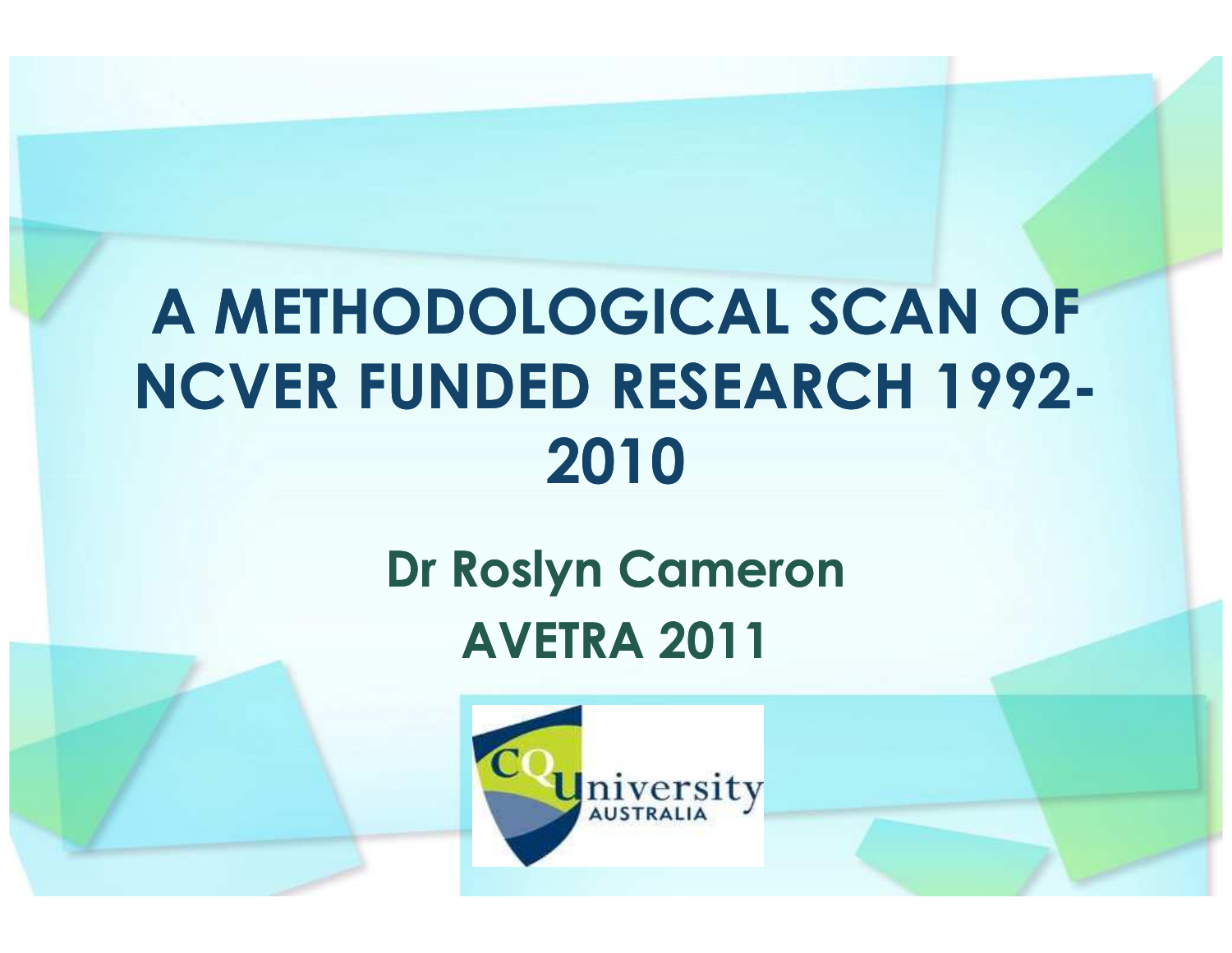#### A METHODOLOGICAL SCAN OF NCVER FUNDED RESEARCH 1992-2010

#### Dr Roslyn CameronAVETRA 2011

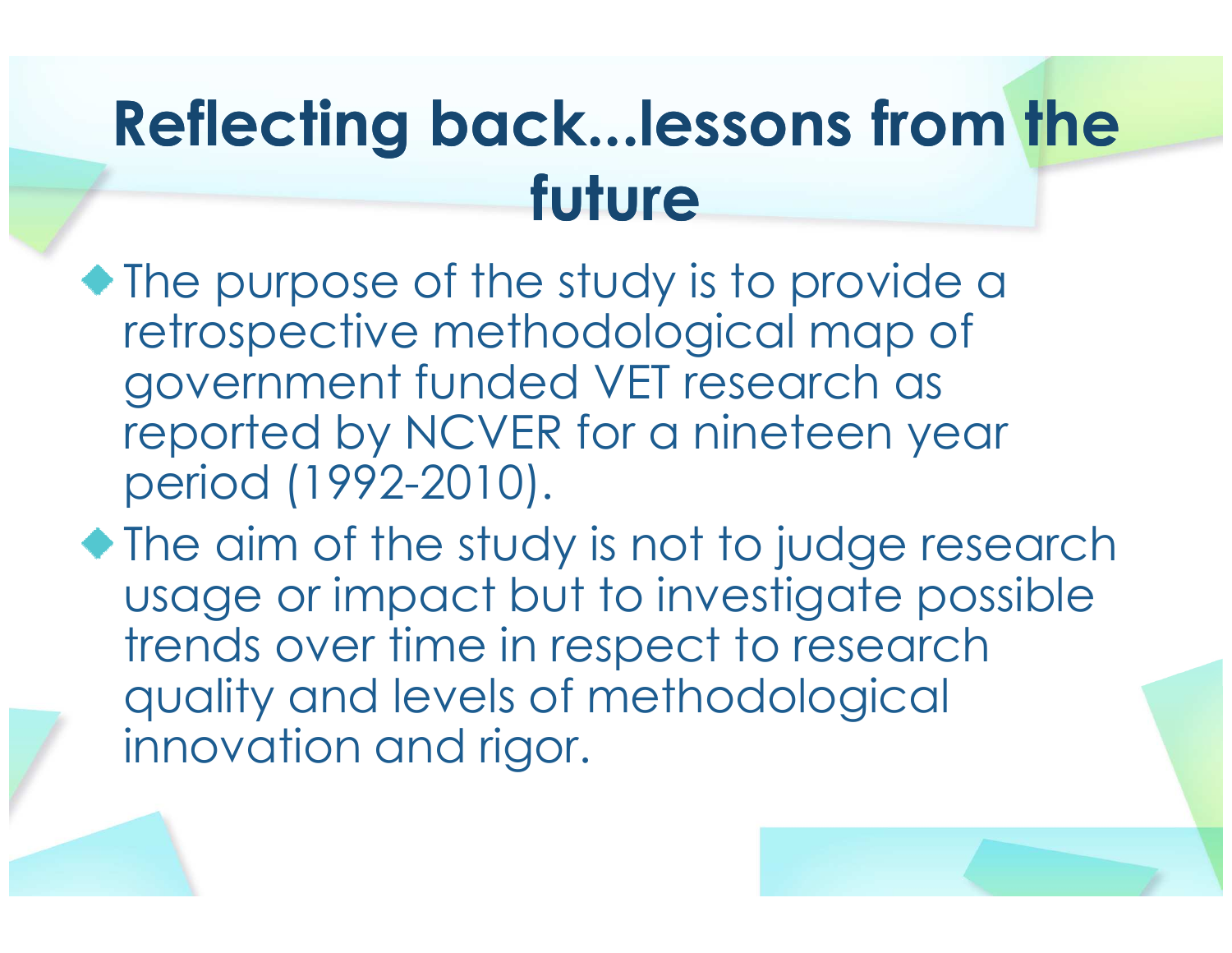#### Reflecting back...lessons from the future

- The purpose of the study is to provide a retrospective methodological map of government funded VET research as reported by NCVER for a nineteen year period (1992-2010).
- The aim of the study is not to judge research usage or impact but to investigate possible trends over time in respect to research quality and levels of methodological innovation and rigor.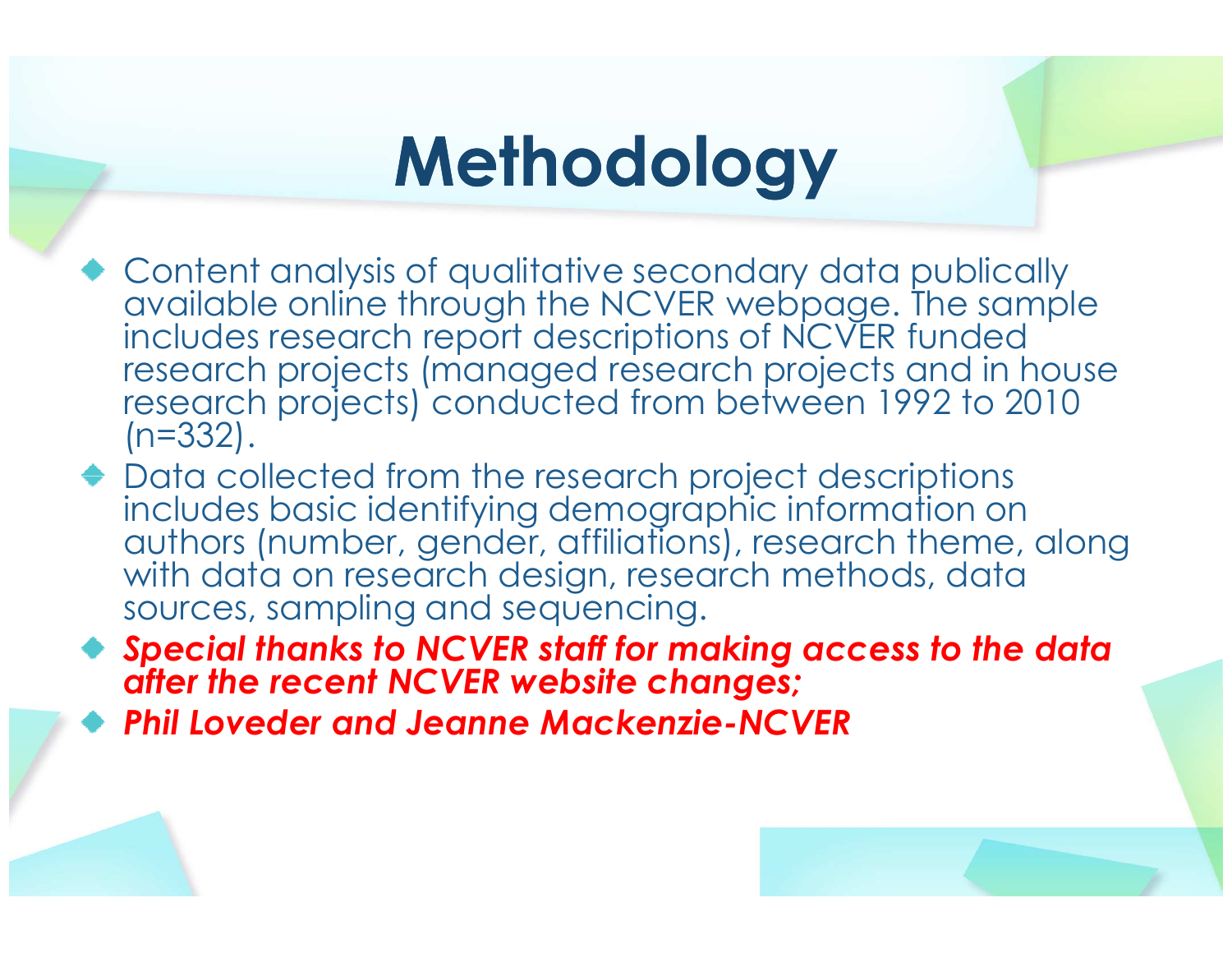### **Methodology**

- Content analysis of qualitative secondary data publically available online through the NCVER webpage. The sample includes research report descriptions of NCVER funded research projects (managed research projects and in house research projects) conducted from between 1992 to 2010 (n=332).
- ◆ Data collected from the research project descriptions includes basic identifying demographic information on authors (number, gender, affiliations), research theme, along with data on research design, research methods, data sources, sampling and sequencing.
- Special thanks to NCVER staff for making access to the data after the recent NCVER website changes;
- Phil Loveder and Jeanne Mackenzie-NCVER

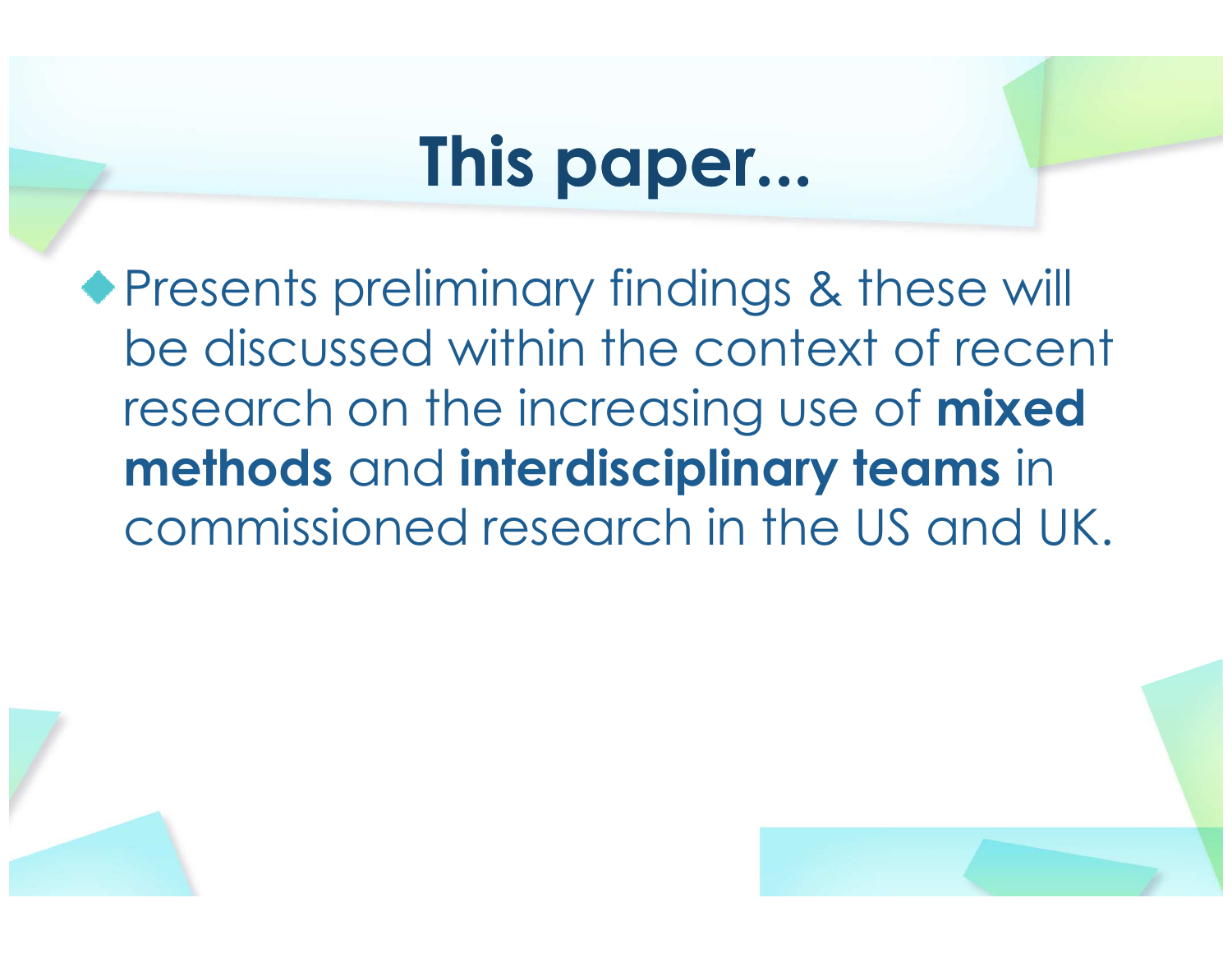## This paper...

◆ Presents preliminary findings & these will be discussed within the context of recent research on the increasing use of **mixed** methods and interdisciplinary teams in commissioned research in the US and UK.



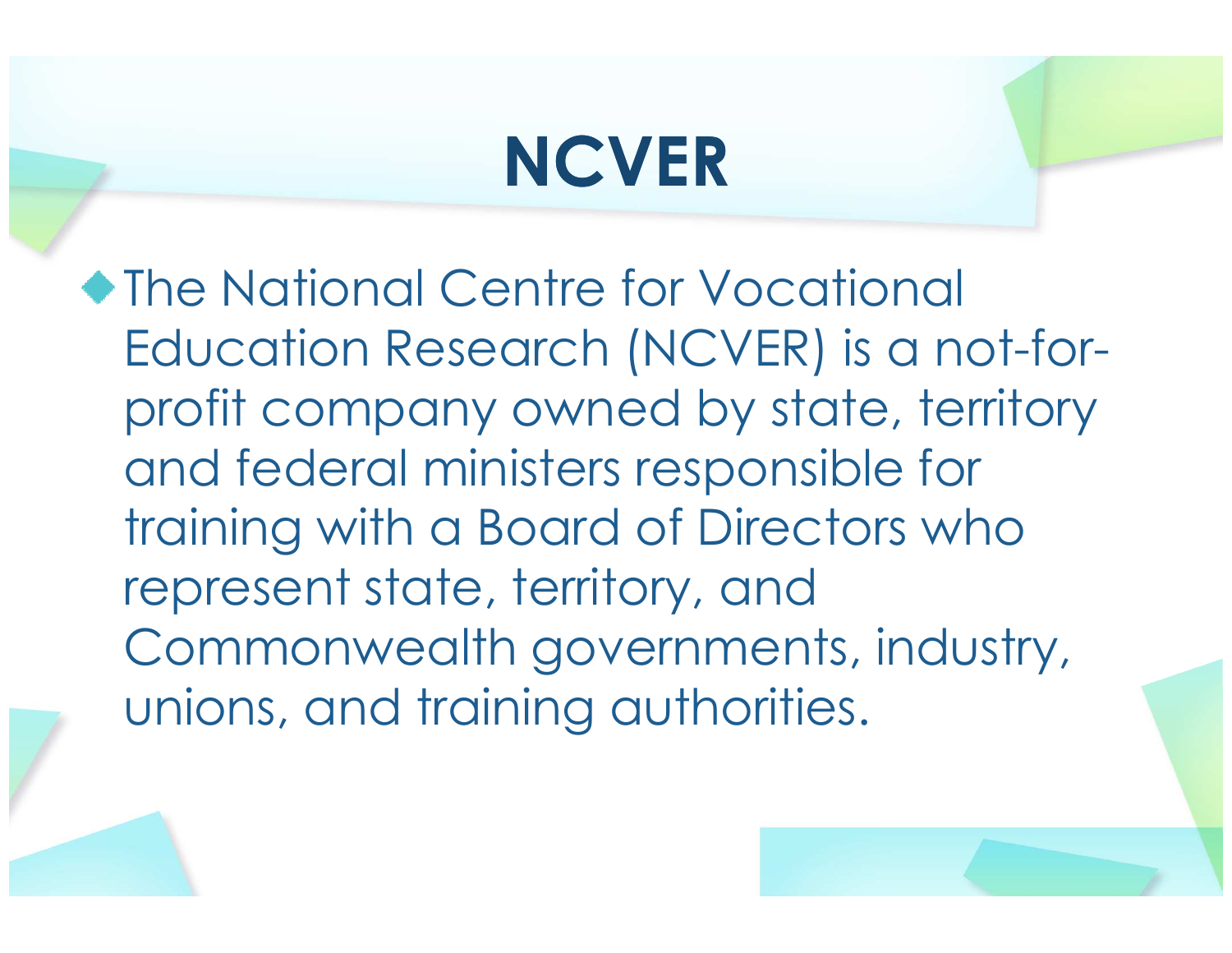## NCVER

◆The National Centre for Vocational Education Research (NCVER) is a not-forprofit company owned by state, territory and federal ministers responsible for training with a Board of Directors who represent state, territory, and Commonwealth governments, industry, unions, and training authorities.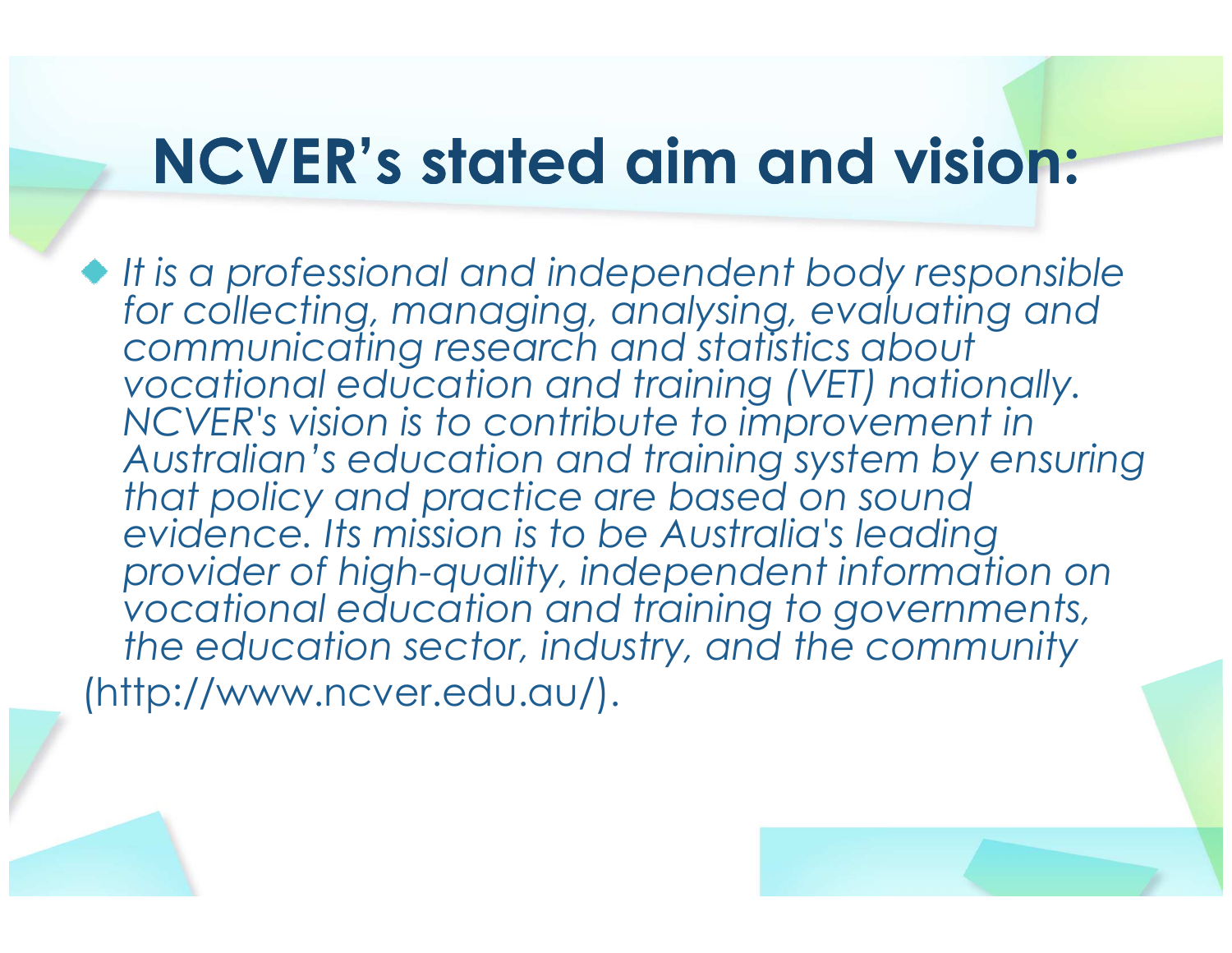#### NCVER's stated aim and vision:

It is a professional and independent body responsible for collecting, managing, analysing, evaluating andcommunicating research and statistics about vocational education and training (VET) nationally.NCVER's vision is to contribute to improvement in Australian's education and training system by ensuring that policy and practice are based on sound evidence. Its mission is to be Australia's leading provider of high-quality, independent information on vocational education and training to governments, the education sector, industry, and the community (http://www.ncver.edu.au/).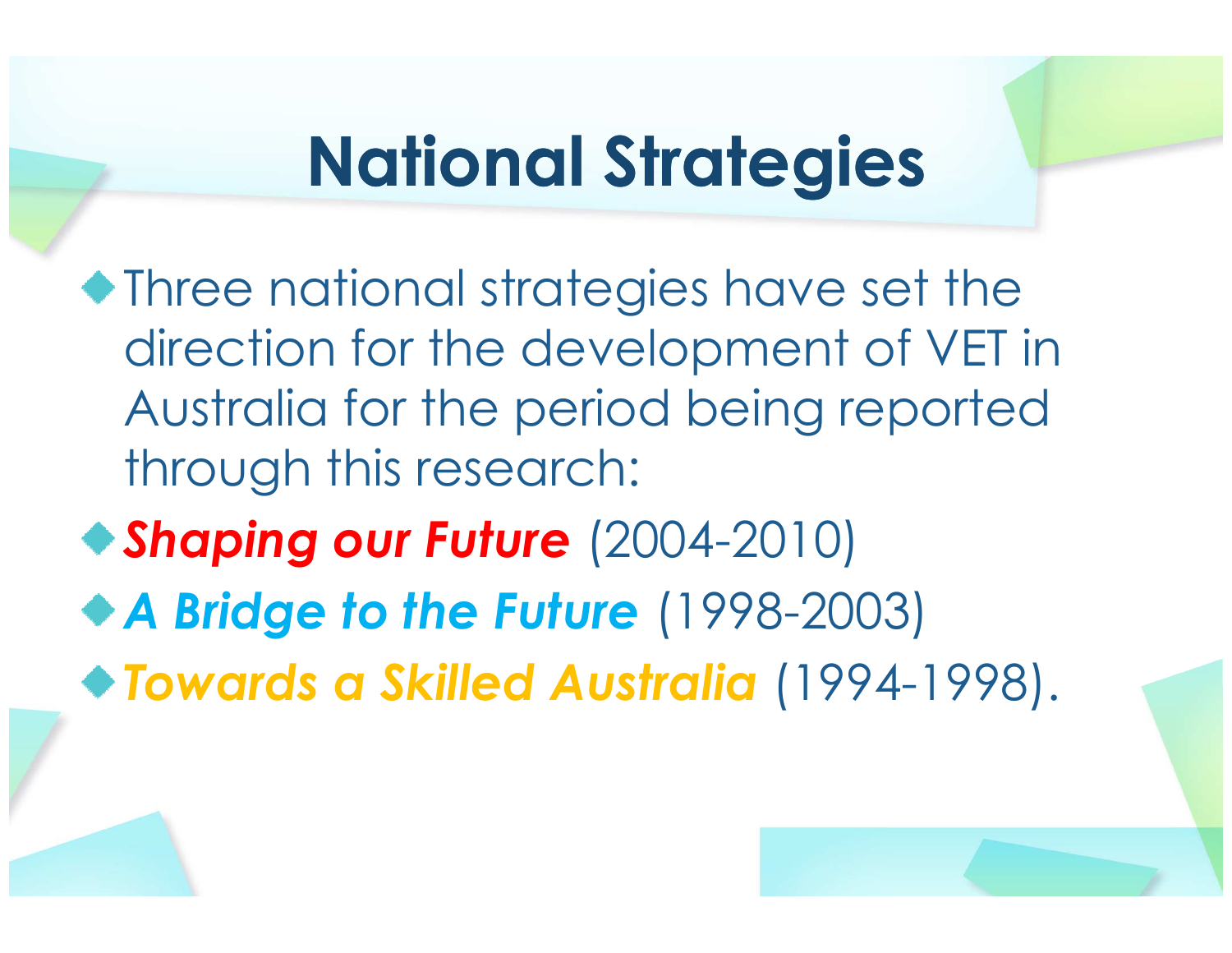#### National Strategies

- Three national strategies have set the direction for the development of VET in Australia for the period being reported through this research:
- Shaping our Future (2004-2010)
- ◆ A Bridge to the Future (1998-2003)
- Towards a Skilled Australia (1994-1998).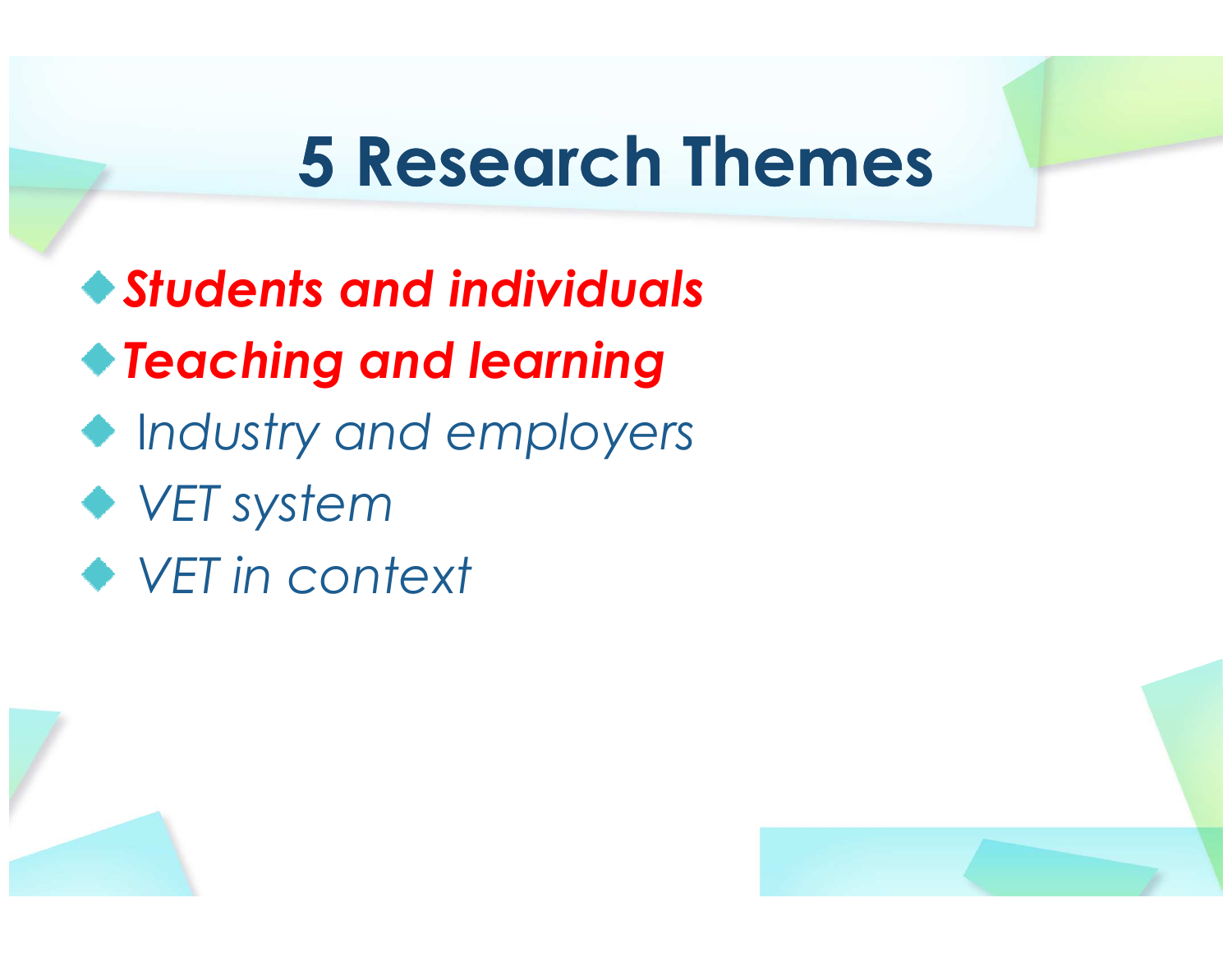#### 5 Research Themes

Students and individualsTeaching and learning Industry and employers◆ VET system VET in context



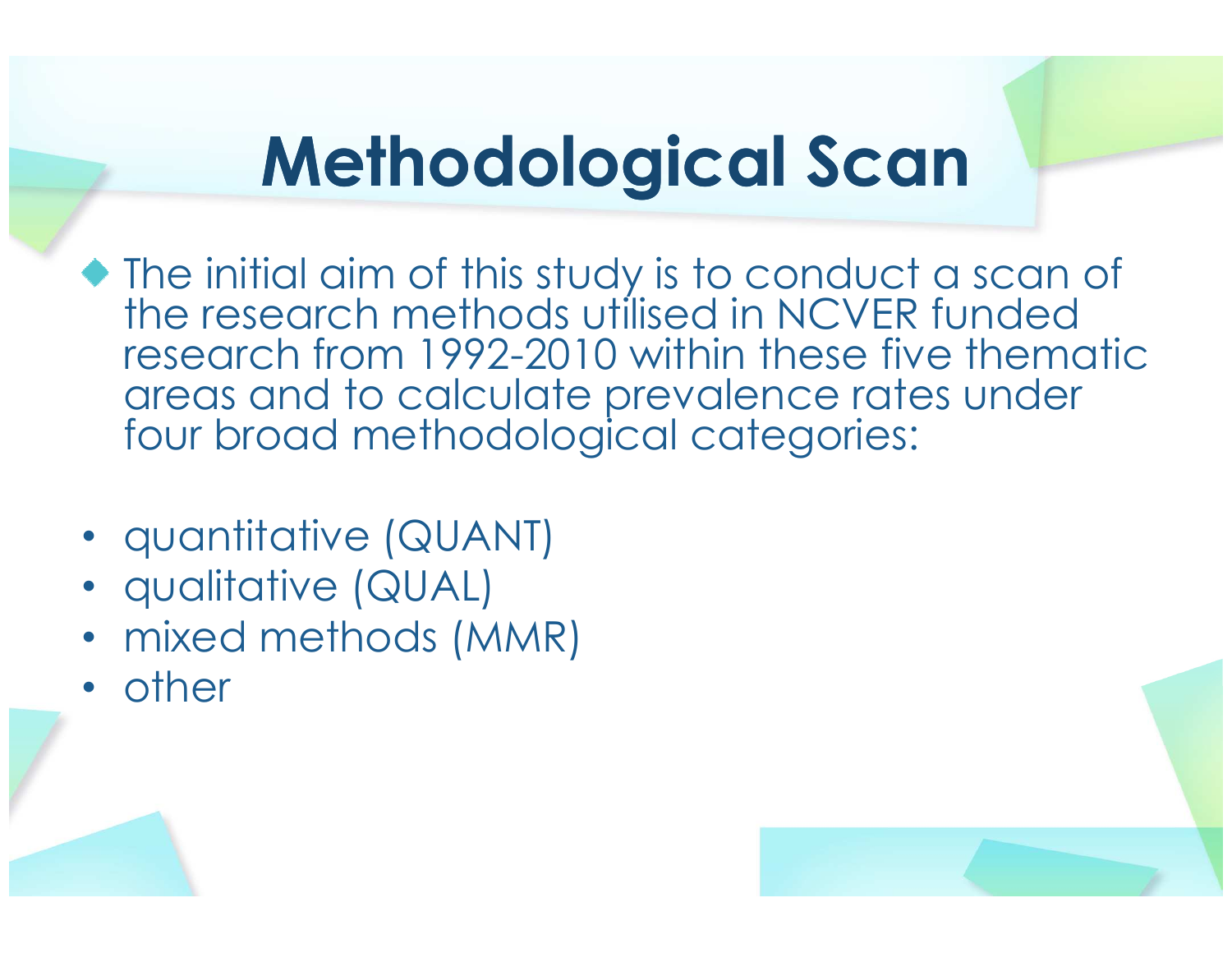## Methodological Scan

- The initial aim of this study is to conduct a scan of the research methods utilised in NCVER funded research from 1992-2010 within these five thematic areas and to calculate prevalence rates under four broad methodological categories:
- quantitative (QUANT)
- qualitative (QUAL)
- mixed methods (MMR)
- other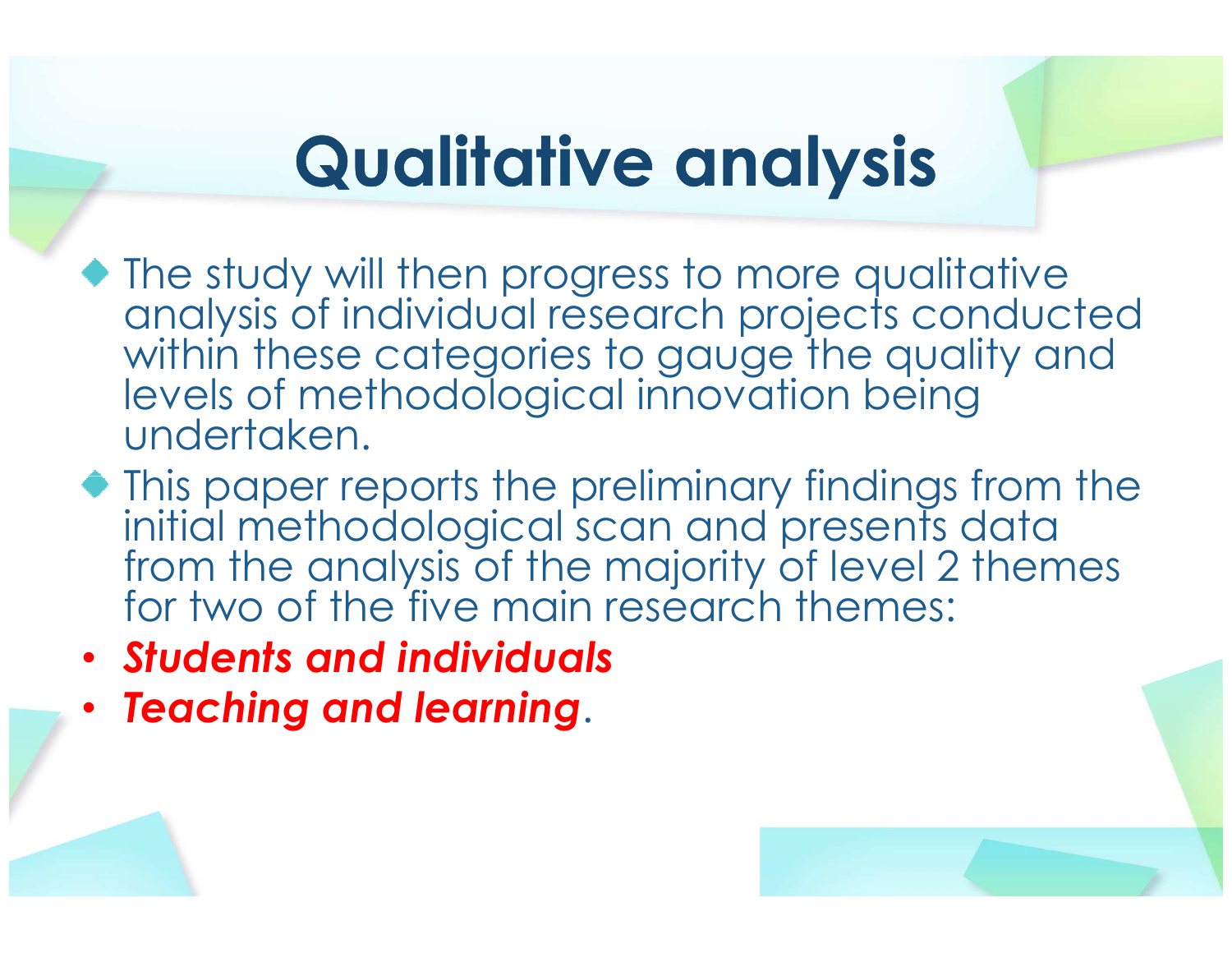### Qualitative analysis

- The study will then progress to more qualitative analysis of individual research projects conducted within these categories to gauge the quality and levels of methodological innovation being undertaken.
- $\bullet$  This paper reports the preliminary findings from the initial methodological scan and presents data from the analysis of the majority of level 2 themes for two of the five main research themes:
- Students and individuals
- •Teaching and learning.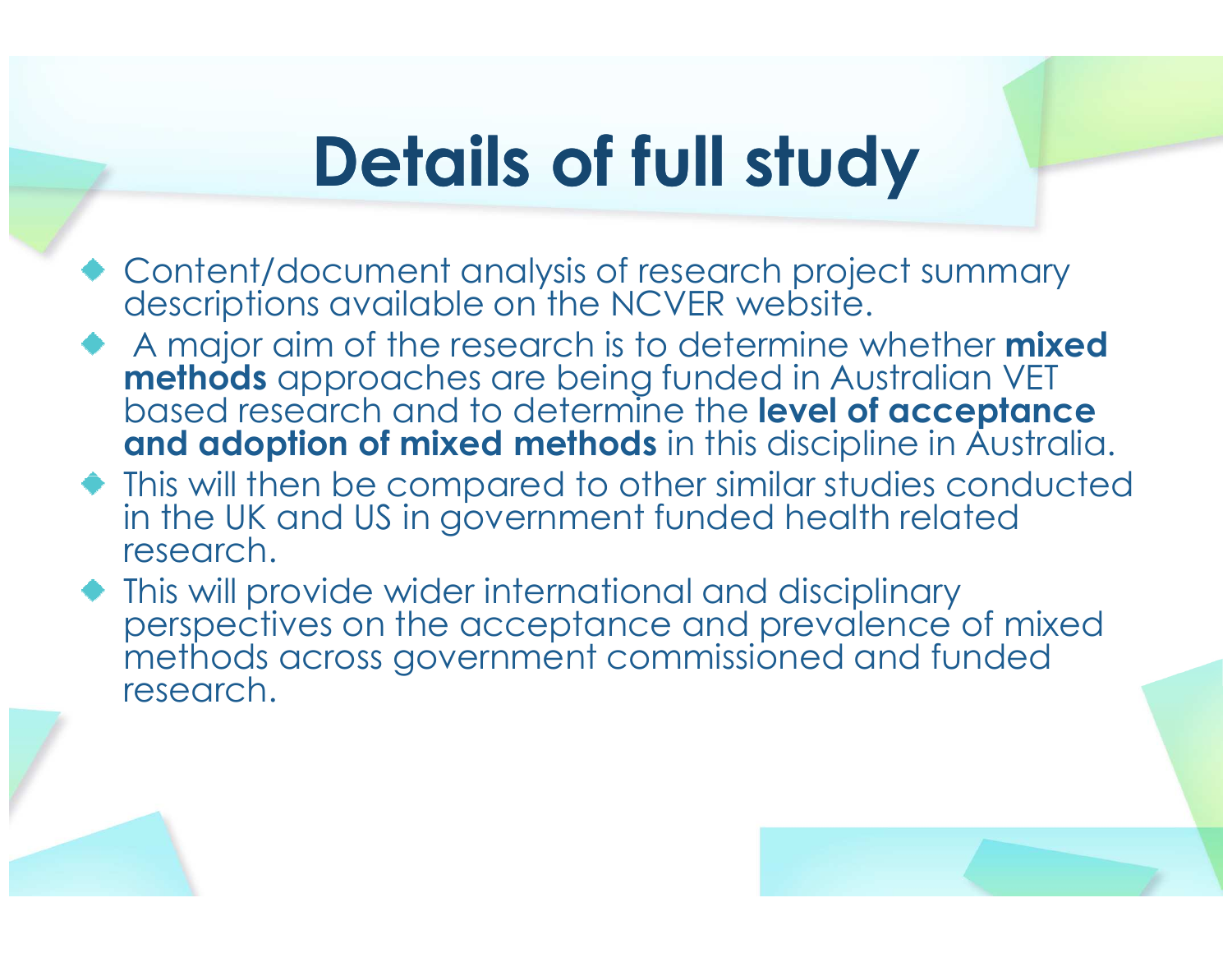### Details of full study

- Content/document analysis of research project summary descriptions available on the NCVER website.
- A major aim of the research is to determine whether **mixed methods** approaches are being funded in Australian VET<br>based research and to determine the **level of acceptance**<br>**and adoption of mixed methods** in this discipline in Australia.
- This will then be compared to other similar studies conducted in the UK and US in government funded health related research.
- This will provide wider international and disciplinary perspectives on the acceptance and prevalence of mixed methods across government commissioned and funded research.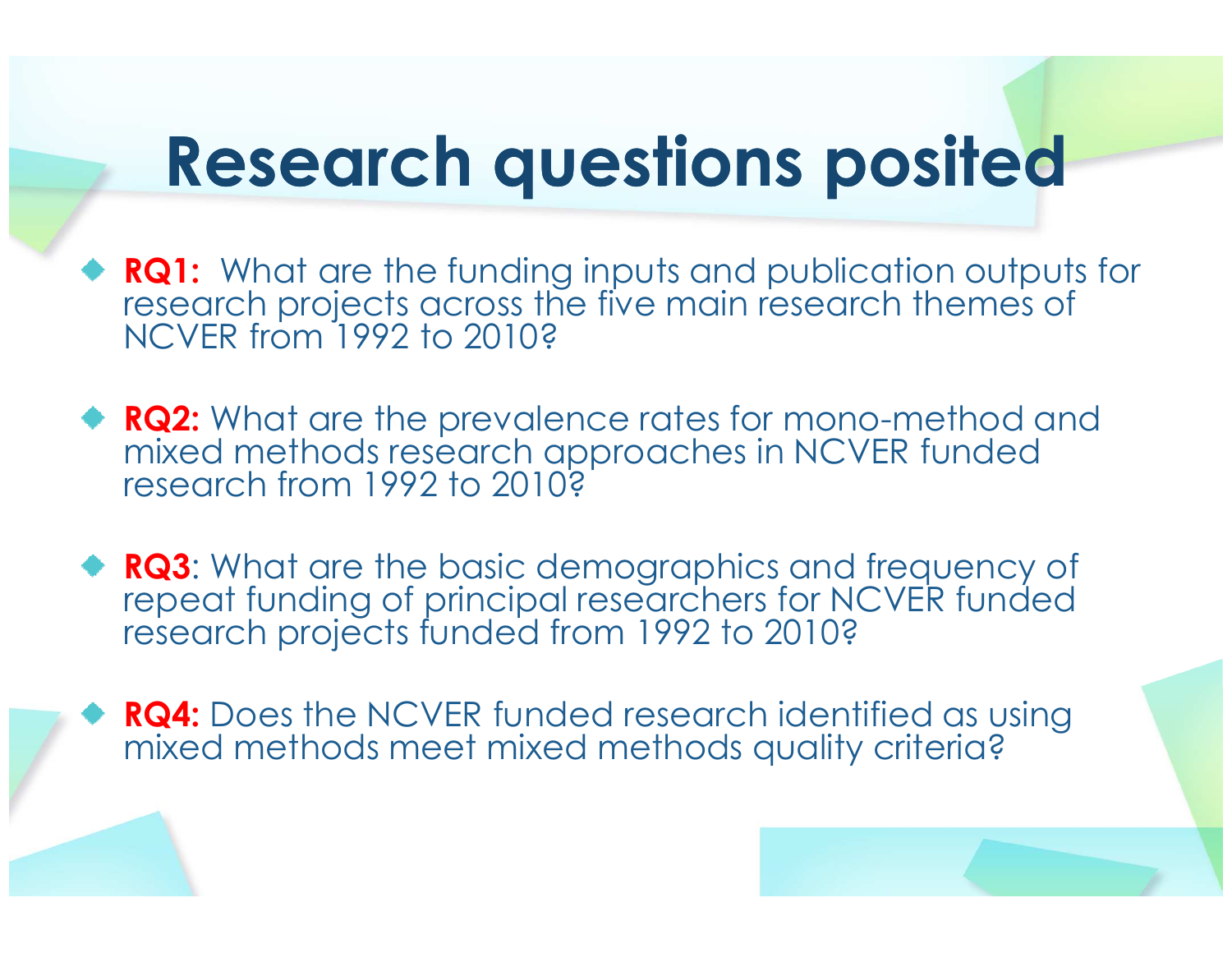# Research questions posited

- **RQ1:** What are the funding inputs and publication outputs for research projects across the five main research themes of NCVER from 1992 to 2010?
- **RQ2:** What are the prevalence rates for mono-method and mixed methods research approaches in NCVER funded research from 1992 to 2010?
- **RQ3:** What are the basic demographics and frequency of repeat funding of principal researchers for NCVER funded research projects funded from 1992 to 2010?
- RQ4: Does the NCVER funded research identified as using mixed methods meet mixed methods quality criteria?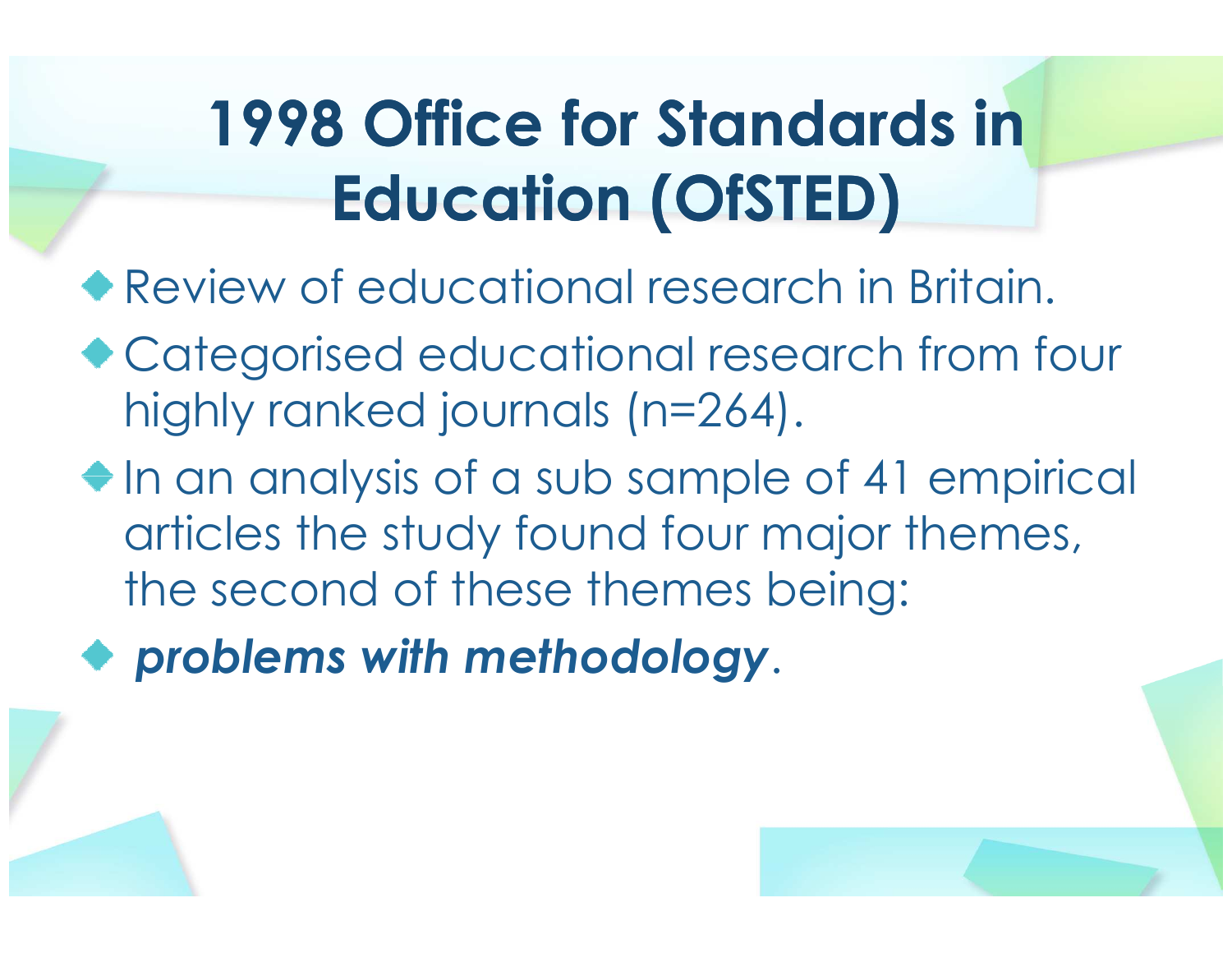## 1998 Office for Standards in Education (OfSTED)

- Review of educational research in Britain.
- ◆ Categorised educational research from four highly ranked journals (n=264).
- $\bullet$  In an analysis of a sub sample of 41 empirical articles the study found four major themes, the second of these themes being:
- problems with methodology.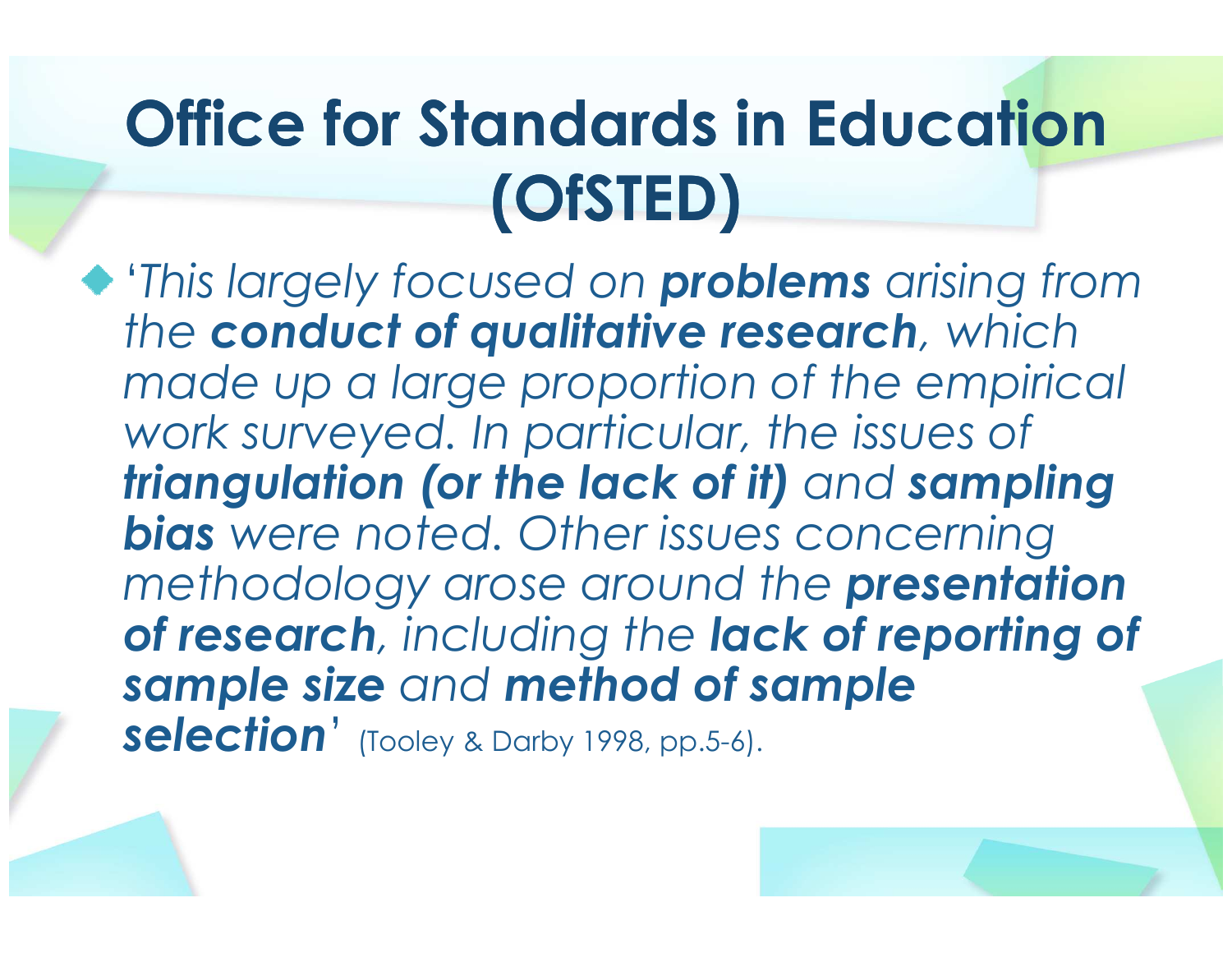#### Office for Standards in Education (OfSTED)

'This largely focused on **problems** arising from the conduct of qualitative research, which made up a large proportion of the empirical work surveyed. In particular, the issues of triangulation (or the lack of it) and sampling bias were noted. Other issues concerning methodology arose around the **presentation** of research, including the lack of reporting of sample size and method of sample<br>aslaction' selection' (Tooley & Darby 1998, pp.5-6).

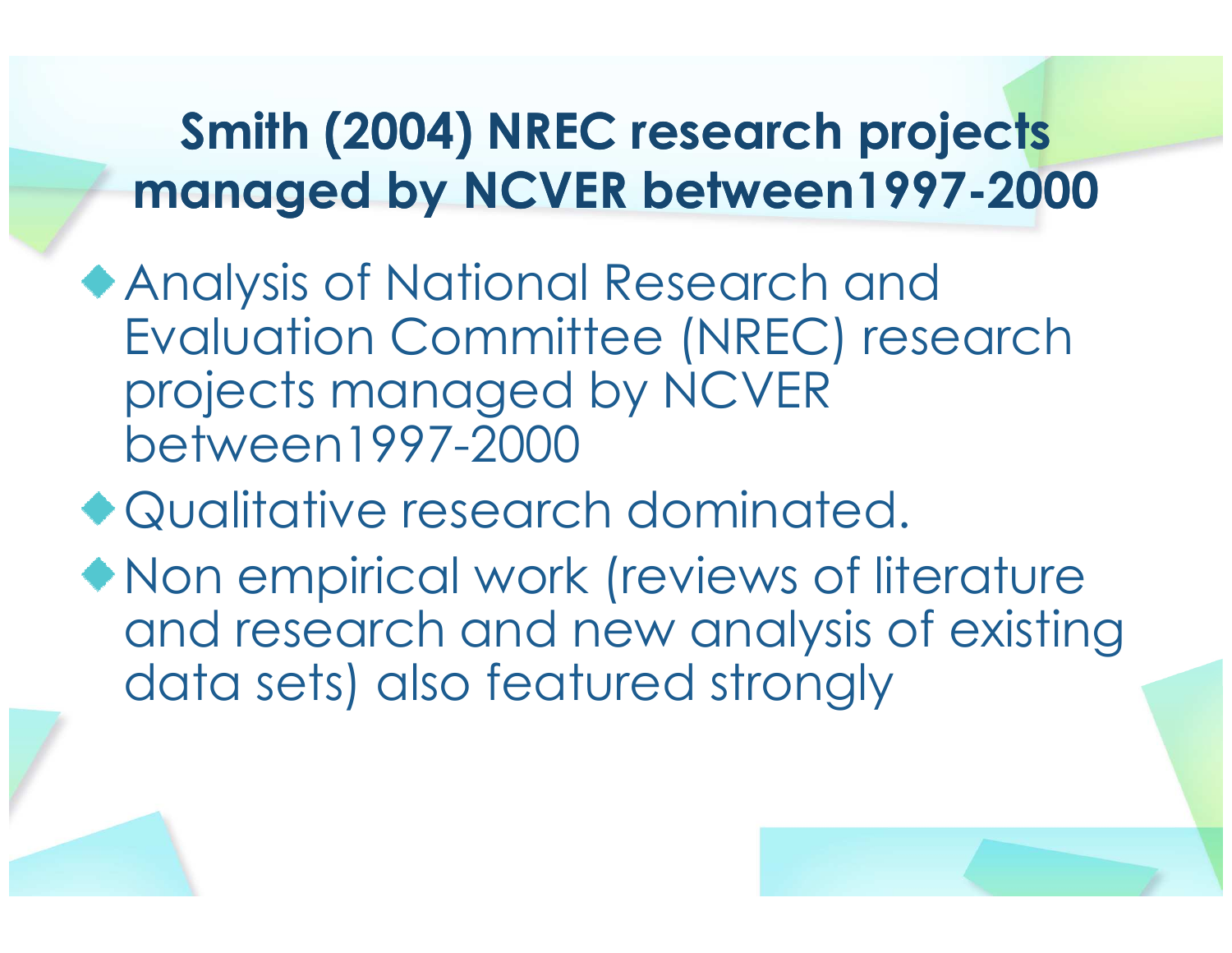#### Smith (2004) NREC research projects managed by NCVER between1997-2000

- Analysis of National Research and Evaluation Committee (NREC) research projects managed by NCVER between1997-2000
- Qualitative research dominated.
- Non empirical work (reviews of literature and research and new analysis of existing data sets) also featured strongly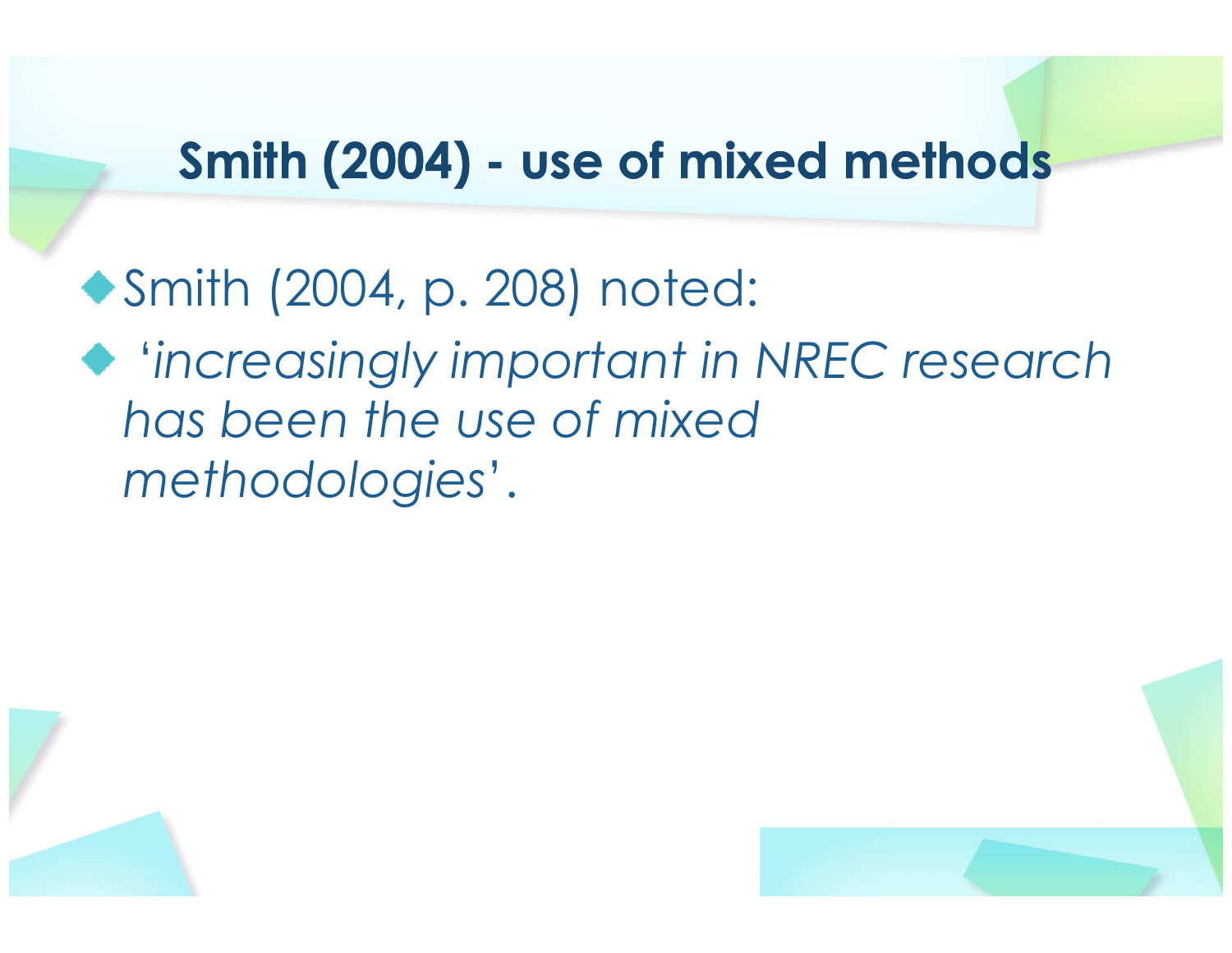#### Smith (2004) - use of mixed methods

Smith (2004, p. 208) noted:'increasingly important in NREC research has been the use of mixed methodologies'.



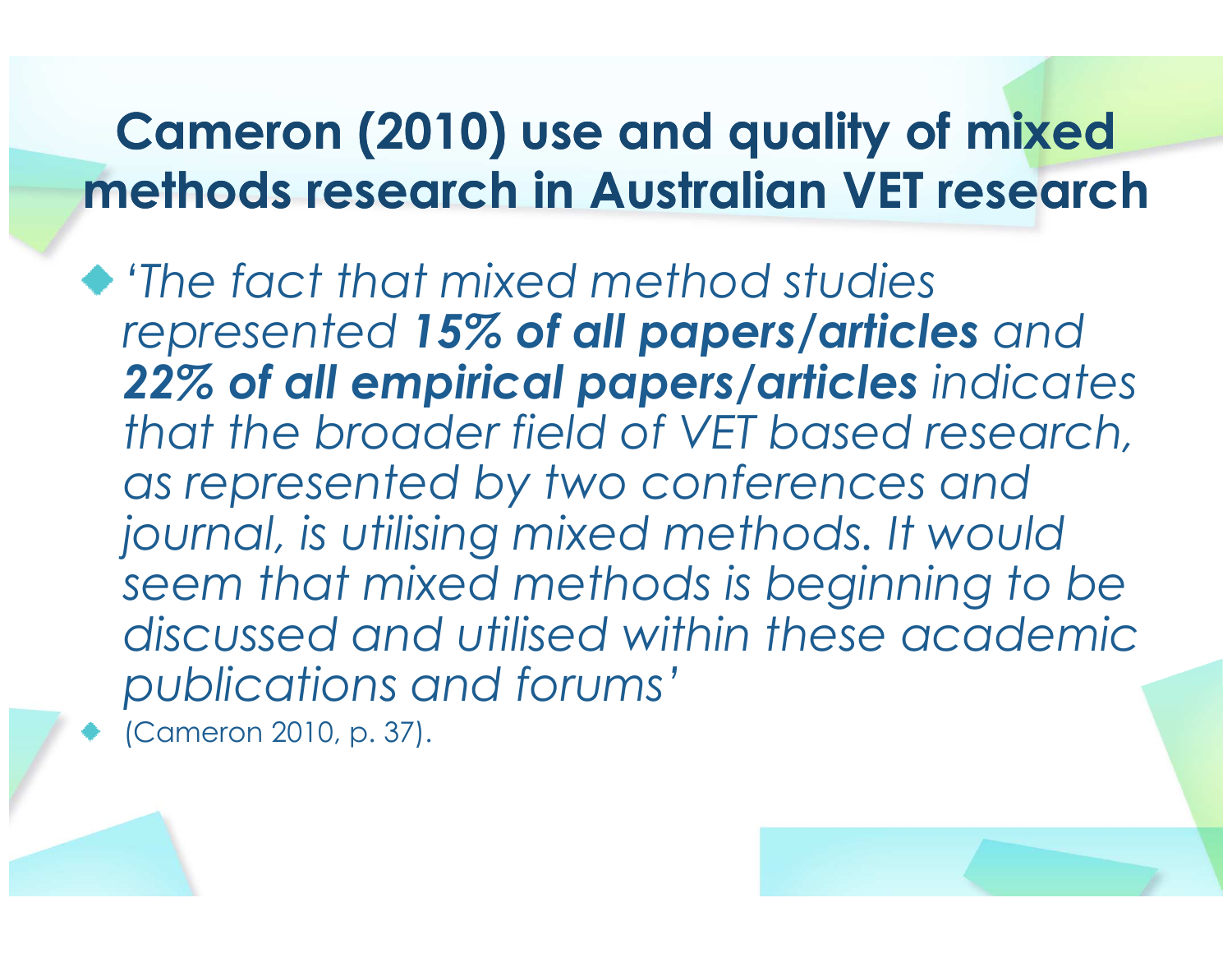#### Cameron (2010) use and quality of mixed methods research in Australian VET research

'The fact that mixed method studies represented 15% of all papers/articles and 22% of all empirical papers/articles indicates that the broader field of VET based research, as represented by two conferences and journal, is utilising mixed methods. It would seem that mixed methods is beginning to be discussed and utilised within these academic publications and forums'

(Cameron 2010, p. 37).

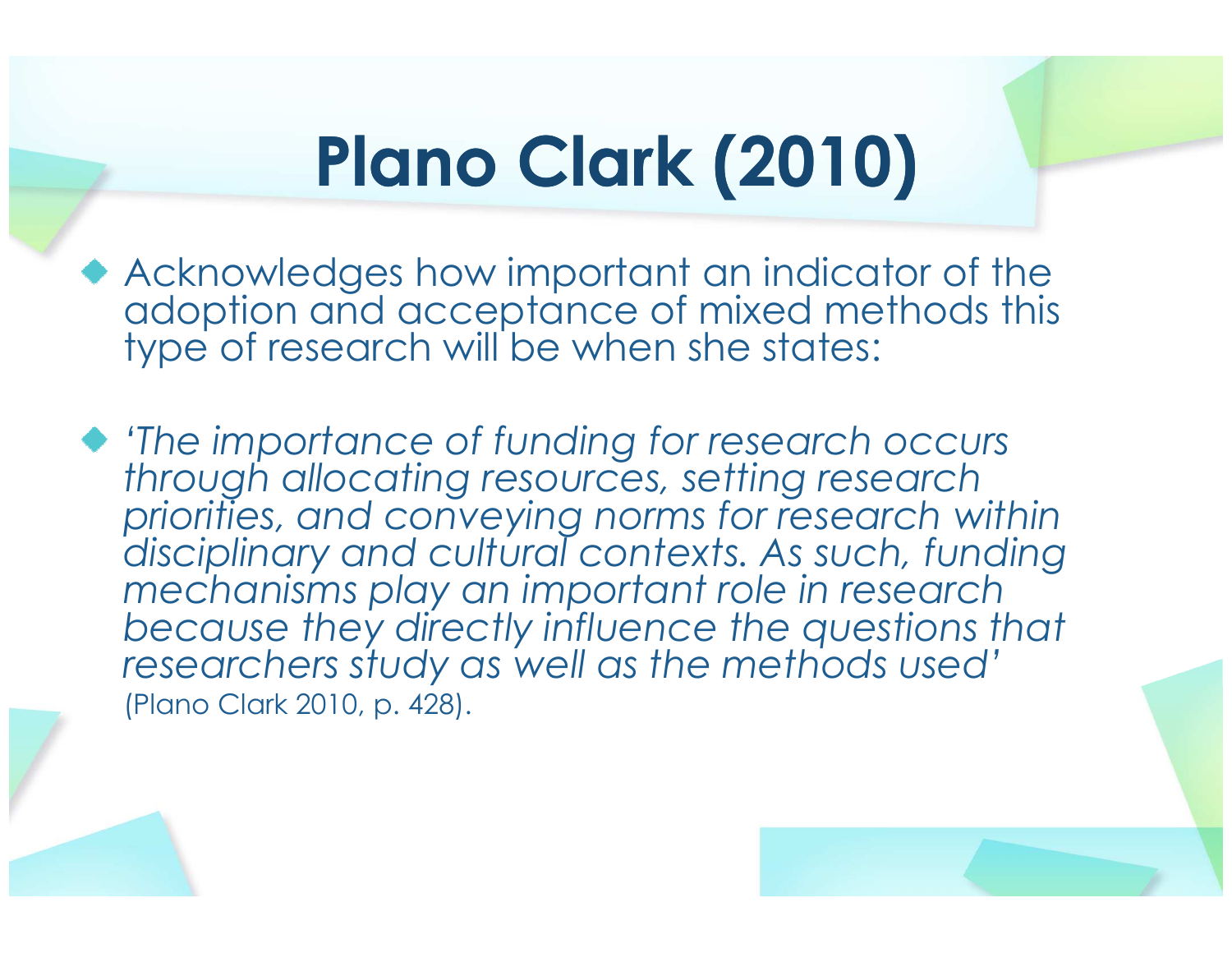## Plano Clark (2010)

- Acknowledges how important an indicator of the adoption and acceptance of mixed methods this type of research will be when she states:
- 'The importance of funding for research occurs through allocating resources, setting research priorities, and conveying norms for research within disciplinary and cultural contexts. As such, funding mechanisms play an important role in research because they directly influence the questions that researchers study as well as the methods used'(Plano Clark 2010, p. 428).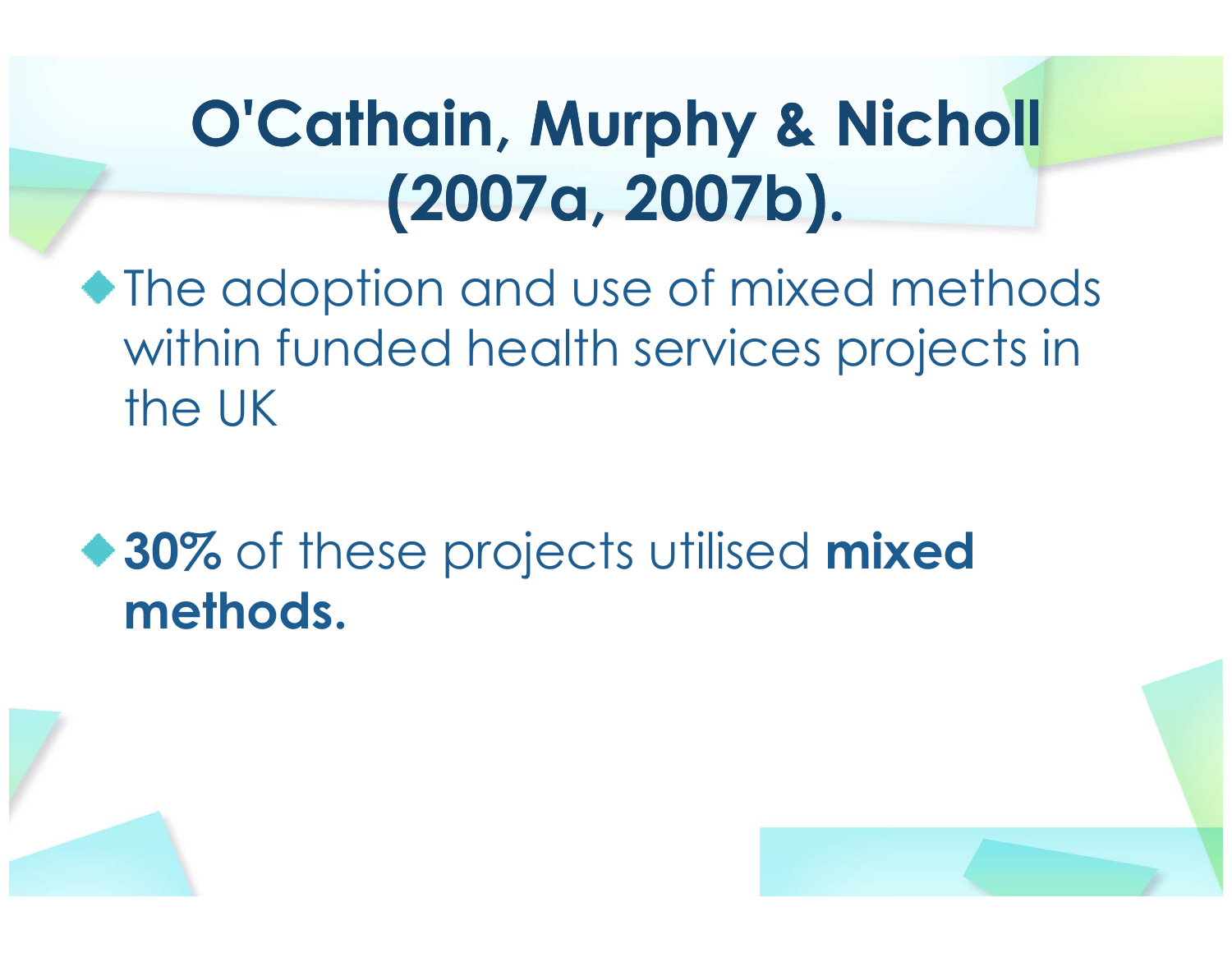#### O'Cathain, Murphy & Nicholl (2007a, 2007b).

- The adoption and use of mixed methods within funded health services projects in the UK
- **30%** of these projects utilised **mixed**<br>matheds methods.



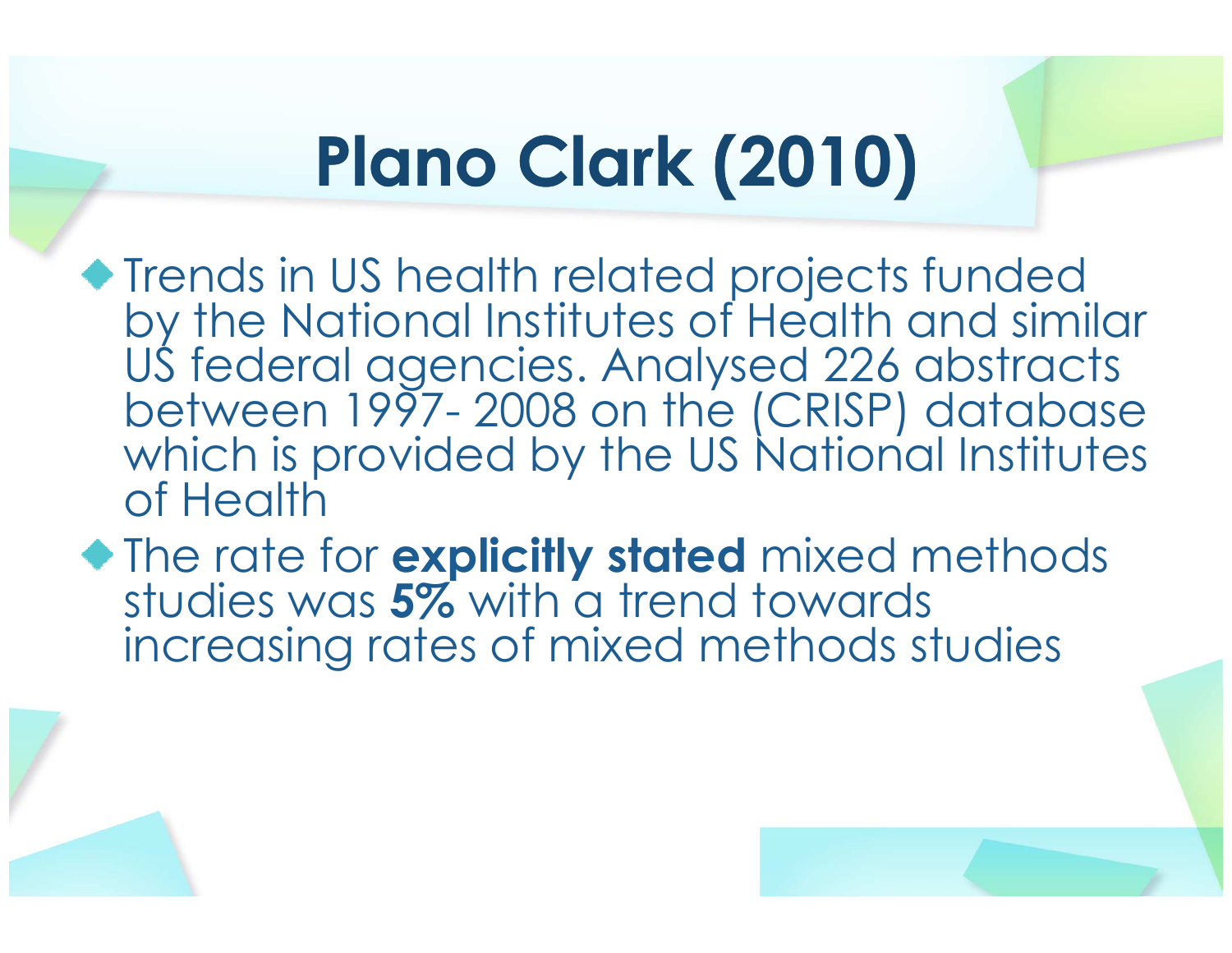# Plano Clark (2010)

- **Trends in US health related projects funded**  by the National Institutes of Health and similar US federal agencies. Analysed 226 abstracts between 1997- 2008 on the (CRISP) database which is provided by the US National Institutes of Health
- The rate for **explicitly stated** mixed methods studies was **5%** with a trend towards<br>increasing rates of mixed methods st increasing rates of mixed methods studies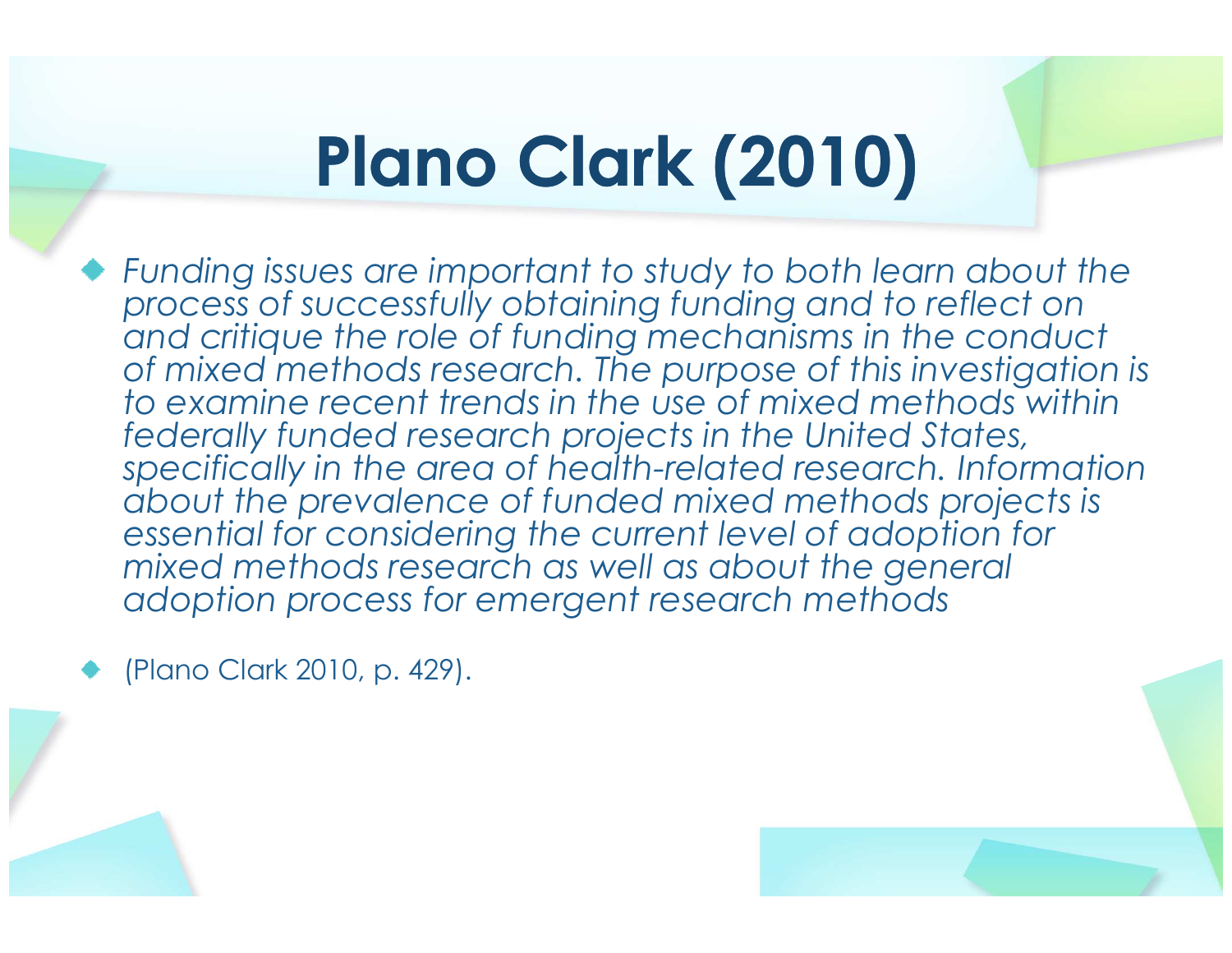## Plano Clark (2010)

Funding issues are important to study to both learn about the process of successfully obtaining funding and to reflect on and critique the role of funding mechanisms in the conduct of mixed methods research. The purpose of this investigation is to examine recent trends in the use of mixed methods within federally funded research projects in the United States, specifically in the area of health-related research. Information about the prevalence of funded mixed methods projects is essential for considering the current level of adoption for mixed methods research as well as about the general adoption process for emergent research methods

(Plano Clark 2010, p. 429).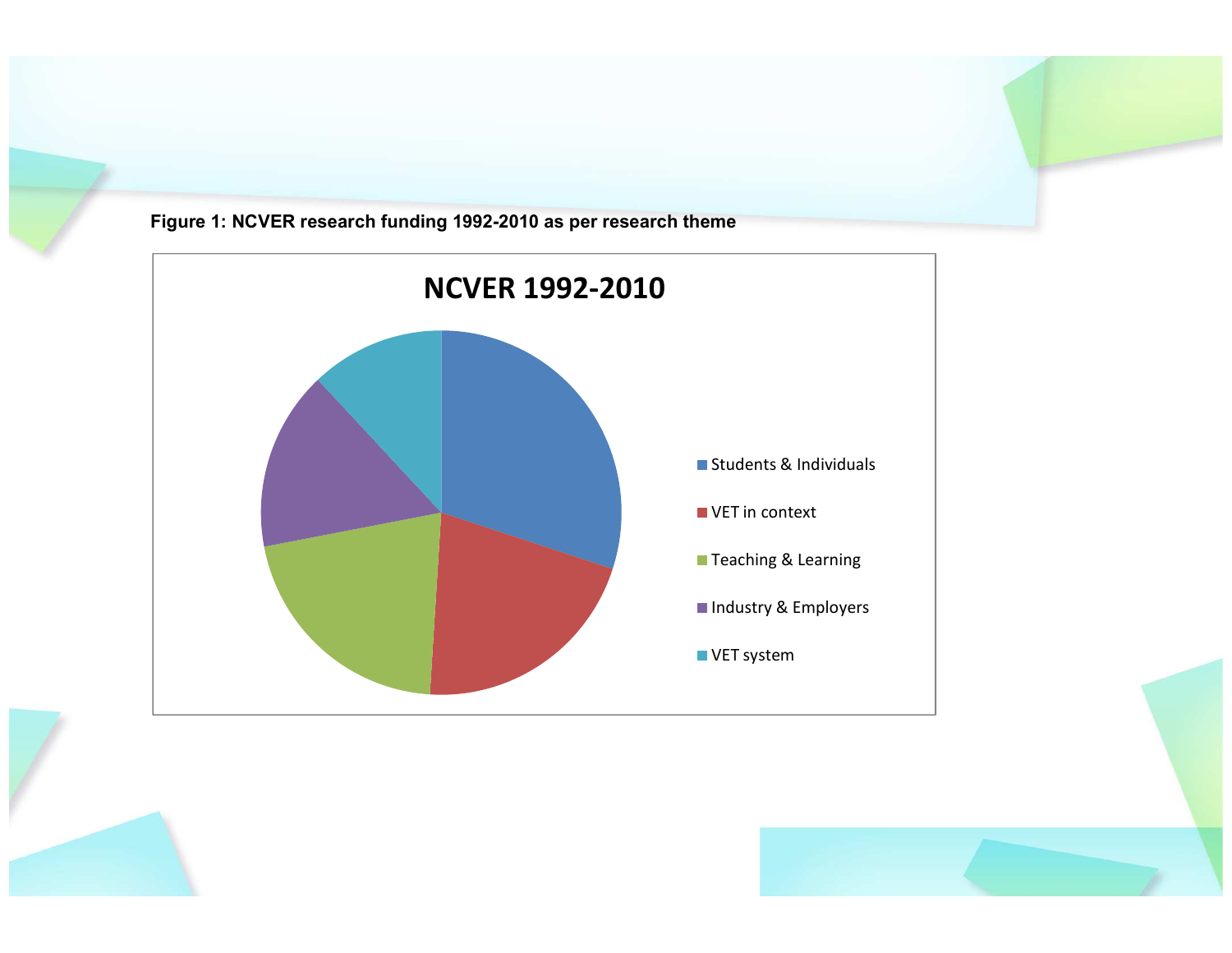

Figure 1: NCVER research funding 1992-2010 as per research theme

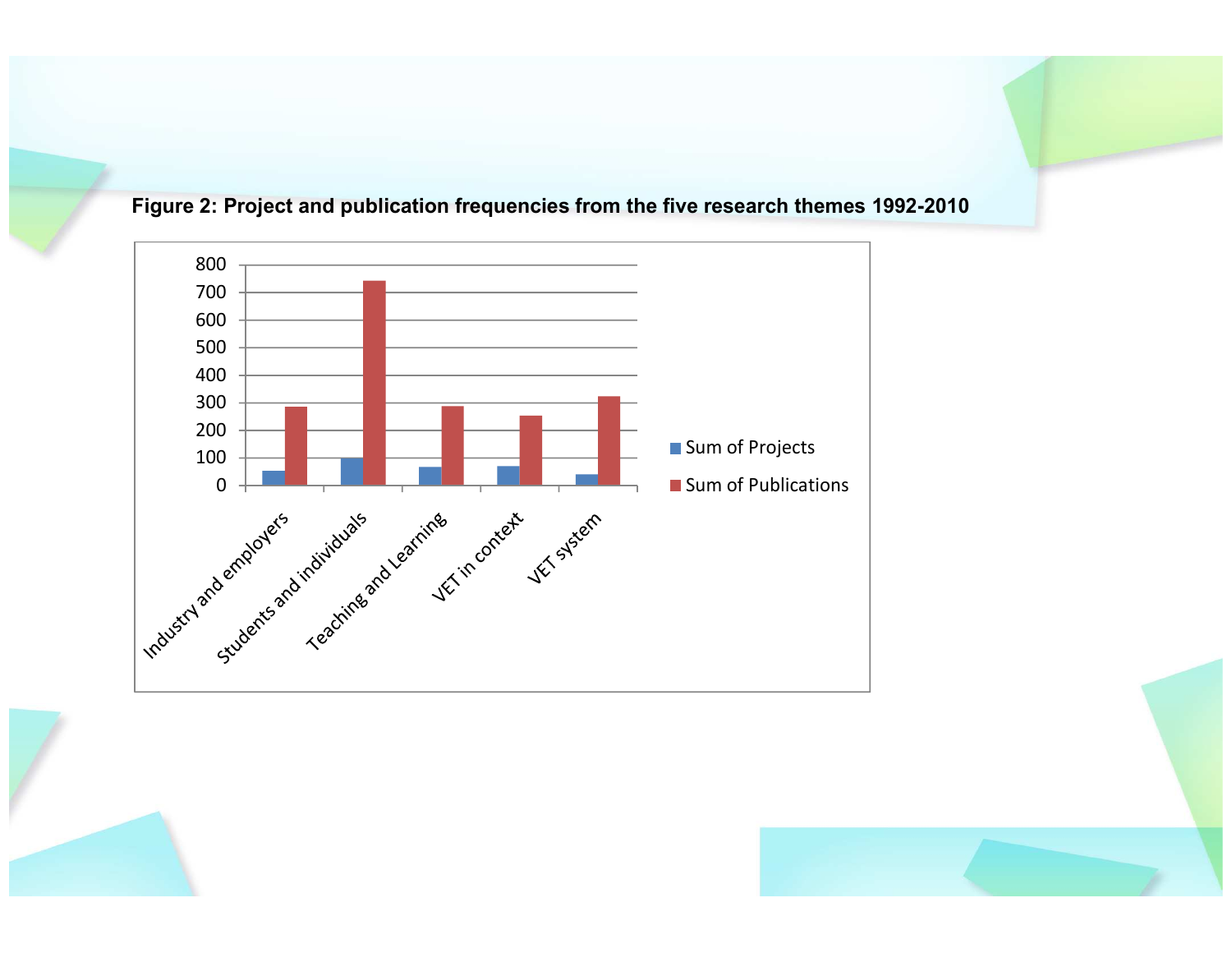



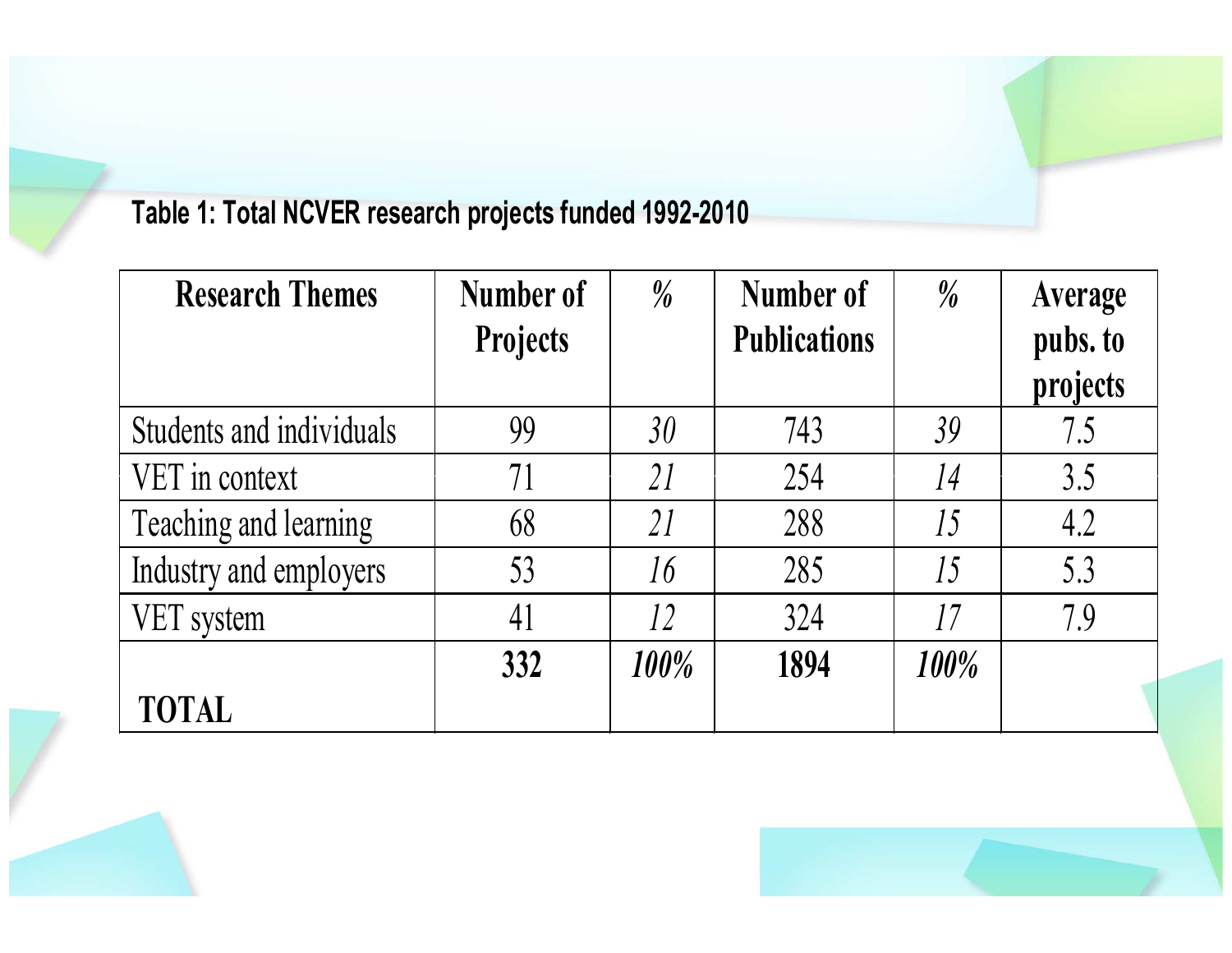#### Table 1: Total NCVER research projects funded 1992-2010

| <b>Research Themes</b>   | Number of       | $\frac{0}{0}$   | Number of           | $\frac{0}{0}$ | Average  |
|--------------------------|-----------------|-----------------|---------------------|---------------|----------|
|                          | <b>Projects</b> |                 | <b>Publications</b> |               | pubs. to |
|                          |                 |                 |                     |               | projects |
| Students and individuals | 99              | 30 <sup>°</sup> | 743                 | 39            | 7.5      |
| VET in context           | 71              | 21              | 254                 | 14            | 3.5      |
| Teaching and learning    | 68              | 21              | 288                 | 15            | 4.2      |
| Industry and employers   | 53              | 16              | 285                 | 15            | 5.3      |
| VET system               | 41              | 12              | 324                 | 17            | 7.9      |
|                          | 332             | $100\%$         | 1894                | 100%          |          |
| <b>TOTAL</b>             |                 |                 |                     |               |          |



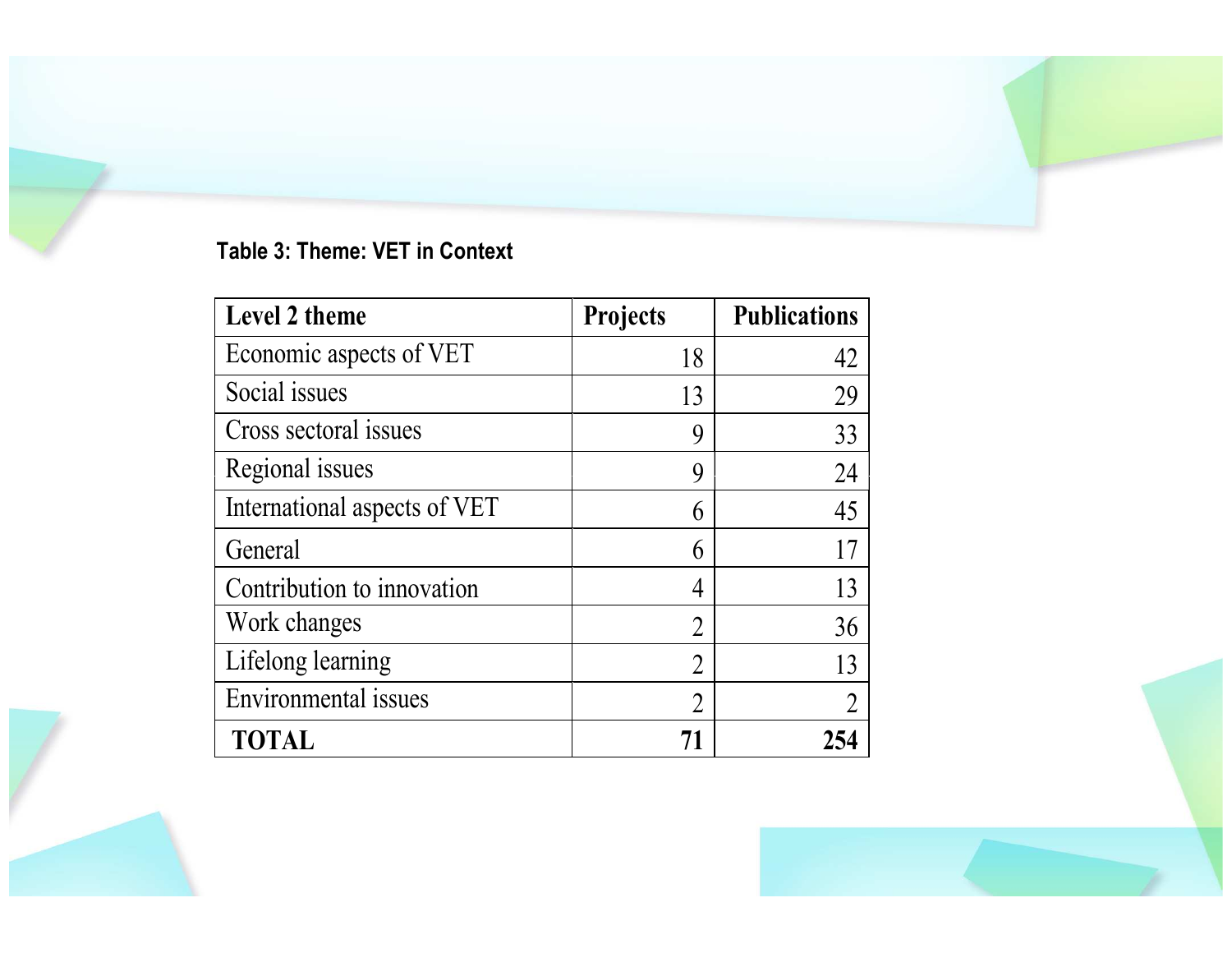#### Table 3: Theme: VET in Context

| Level 2 theme                | <b>Projects</b> | <b>Publications</b> |
|------------------------------|-----------------|---------------------|
| Economic aspects of VET      | 18              | 42                  |
| Social issues                | 13              | 29                  |
| Cross sectoral issues        | 9               | 33                  |
| Regional issues              | 9               | 24                  |
| International aspects of VET | 6               | 45                  |
| General                      | 6               | 17                  |
| Contribution to innovation   | 4               | 13                  |
| Work changes                 | $\overline{2}$  | 36                  |
| Lifelong learning            | $\overline{2}$  | 13                  |
| <b>Environmental</b> issues  | $\overline{2}$  | $\overline{2}$      |
| <b>TOTAL</b>                 | 71              | 254                 |

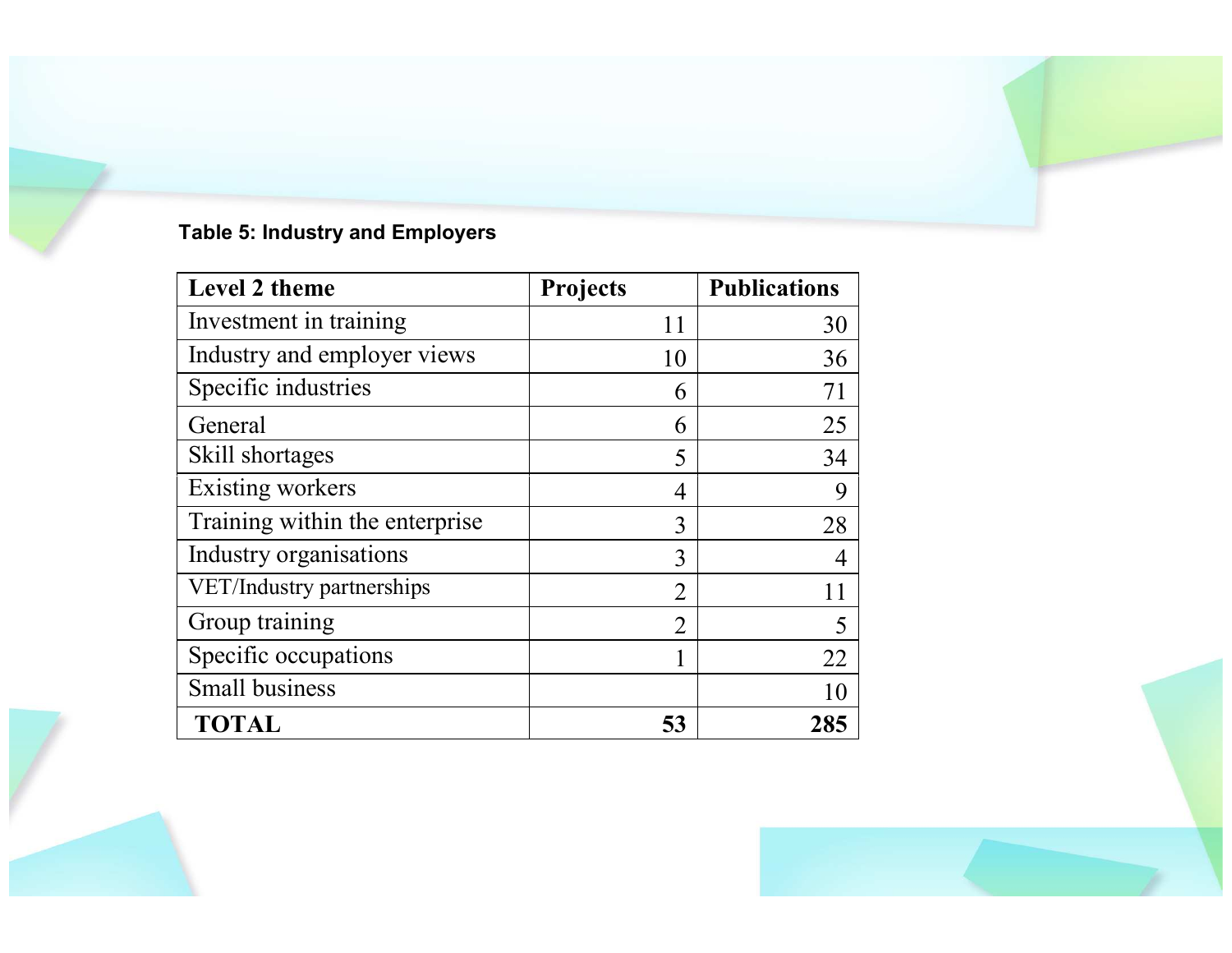#### Table 5: Industry and Employers

| Level 2 theme                  | <b>Projects</b> | <b>Publications</b> |
|--------------------------------|-----------------|---------------------|
| Investment in training         | 11              | 30                  |
| Industry and employer views    | 10              | 36                  |
| Specific industries            | 6               | 71                  |
| General                        | 6               | 25                  |
| Skill shortages                | 5               | 34                  |
| <b>Existing workers</b>        | 4               | 9                   |
| Training within the enterprise | 3               | 28                  |
| Industry organisations         | 3               | 4                   |
| VET/Industry partnerships      | $\overline{2}$  | 11                  |
| Group training                 | 2               | 5                   |
| Specific occupations           |                 | 22                  |
| <b>Small business</b>          |                 | 10                  |
| <b>TOTAL</b>                   | 53              | 285                 |



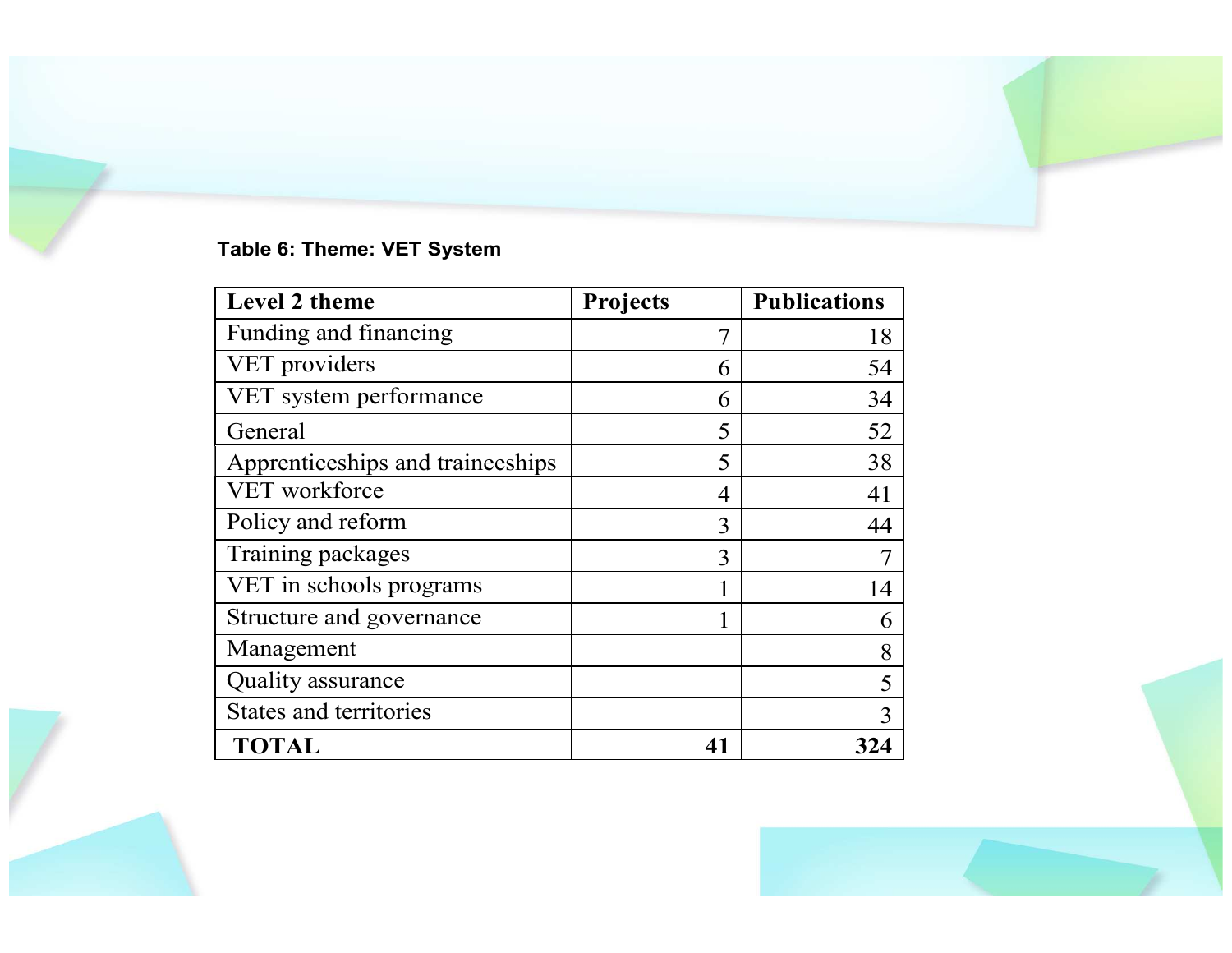#### Table 6: Theme: VET System

| <b>Level 2 theme</b>             | <b>Projects</b> | <b>Publications</b> |
|----------------------------------|-----------------|---------------------|
| Funding and financing            | $\overline{7}$  | 18                  |
| VET providers                    | 6               | 54                  |
| VET system performance           | 6               | 34                  |
| General                          | 5               | 52                  |
| Apprenticeships and traineeships | 5               | 38                  |
| VET workforce                    | 4               | 41                  |
| Policy and reform                | 3               | 44                  |
| Training packages                | 3               |                     |
| VET in schools programs          |                 | 14                  |
| Structure and governance         |                 | 6                   |
| Management                       |                 | 8                   |
| Quality assurance                |                 | 5                   |
| States and territories           |                 | 3                   |
| <b>TOTAL</b>                     | 41              | 324                 |



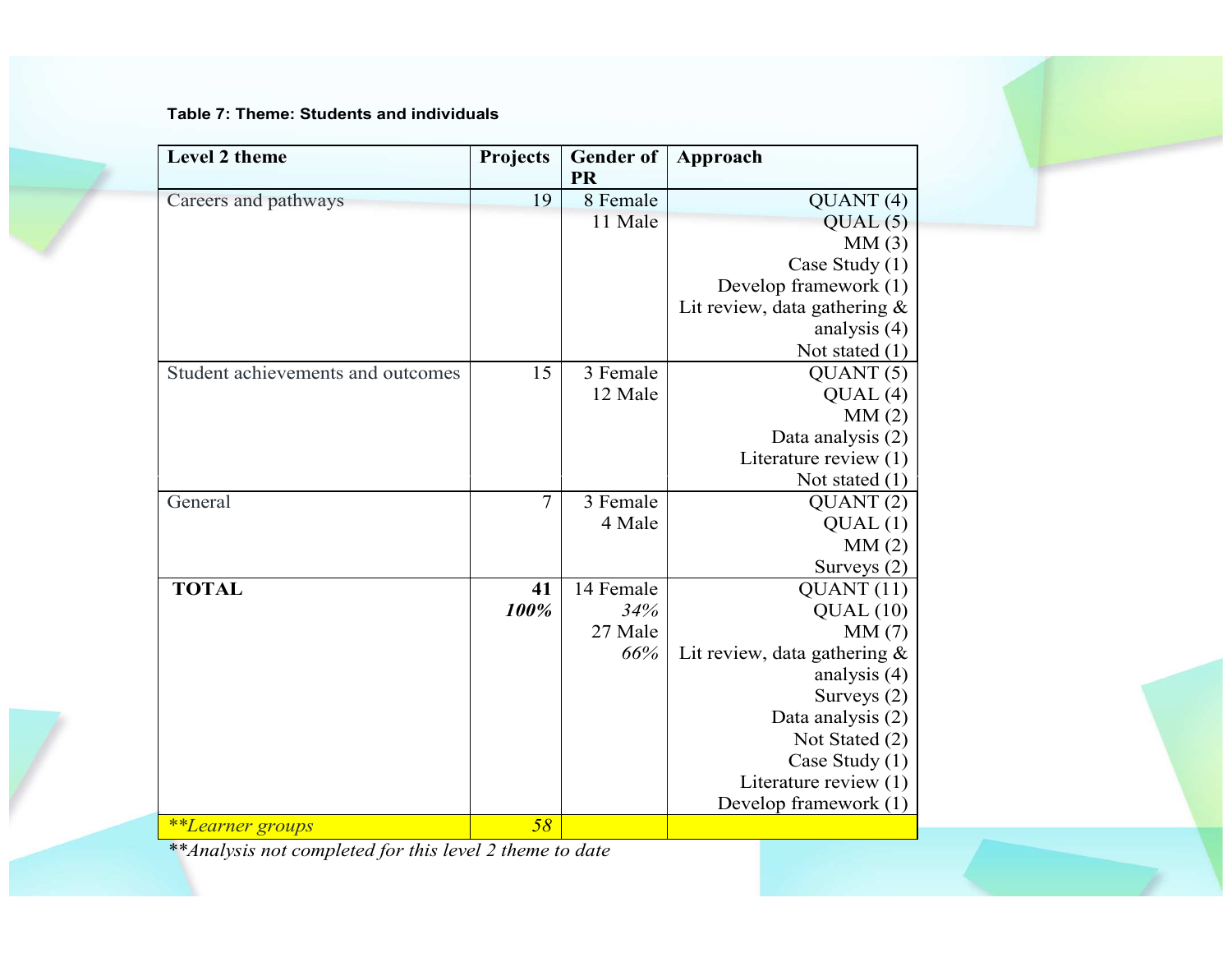Table 7: Theme: Students and individuals

| <b>Level 2 theme</b>              | Projects       | <b>Gender of</b><br><b>PR</b> | Approach                        |  |
|-----------------------------------|----------------|-------------------------------|---------------------------------|--|
| Careers and pathways              | 19             | 8 Female                      | QUANT(4)                        |  |
|                                   |                | 11 Male                       | QUAL(5)                         |  |
|                                   |                |                               | MM(3)                           |  |
|                                   |                |                               | Case Study (1)                  |  |
|                                   |                |                               | Develop framework (1)           |  |
|                                   |                |                               | Lit review, data gathering $\&$ |  |
|                                   |                |                               | analysis $(4)$                  |  |
|                                   |                |                               | Not stated $(1)$                |  |
| Student achievements and outcomes | 15             | 3 Female                      | QUANT(5)                        |  |
|                                   |                | 12 Male                       | QUAL(4)                         |  |
|                                   |                |                               | MM(2)                           |  |
|                                   |                |                               | Data analysis (2)               |  |
|                                   |                |                               | Literature review (1)           |  |
|                                   |                |                               | Not stated $(1)$                |  |
| General                           | $\overline{7}$ | 3 Female                      | QUANT(2)                        |  |
|                                   |                | 4 Male                        | QUAL(1)                         |  |
|                                   |                |                               | MM(2)                           |  |
|                                   |                |                               | Surveys $(2)$                   |  |
| <b>TOTAL</b>                      | 41             | 14 Female                     | QUANT(11)                       |  |
|                                   | 100%           | 34%                           | QUAL(10)                        |  |
|                                   |                | 27 Male                       | MM(7)                           |  |
|                                   |                | 66%                           | Lit review, data gathering $\&$ |  |
|                                   |                |                               | analysis (4)                    |  |
|                                   |                |                               | Surveys $(2)$                   |  |
|                                   |                |                               | Data analysis (2)               |  |
|                                   |                |                               | Not Stated (2)                  |  |
|                                   |                |                               | Case Study (1)                  |  |
|                                   |                |                               | Literature review (1)           |  |
|                                   |                |                               | Develop framework (1)           |  |
| **Learner groups                  | 58             |                               |                                 |  |

\*\*Analysis not completed for this level 2 theme to date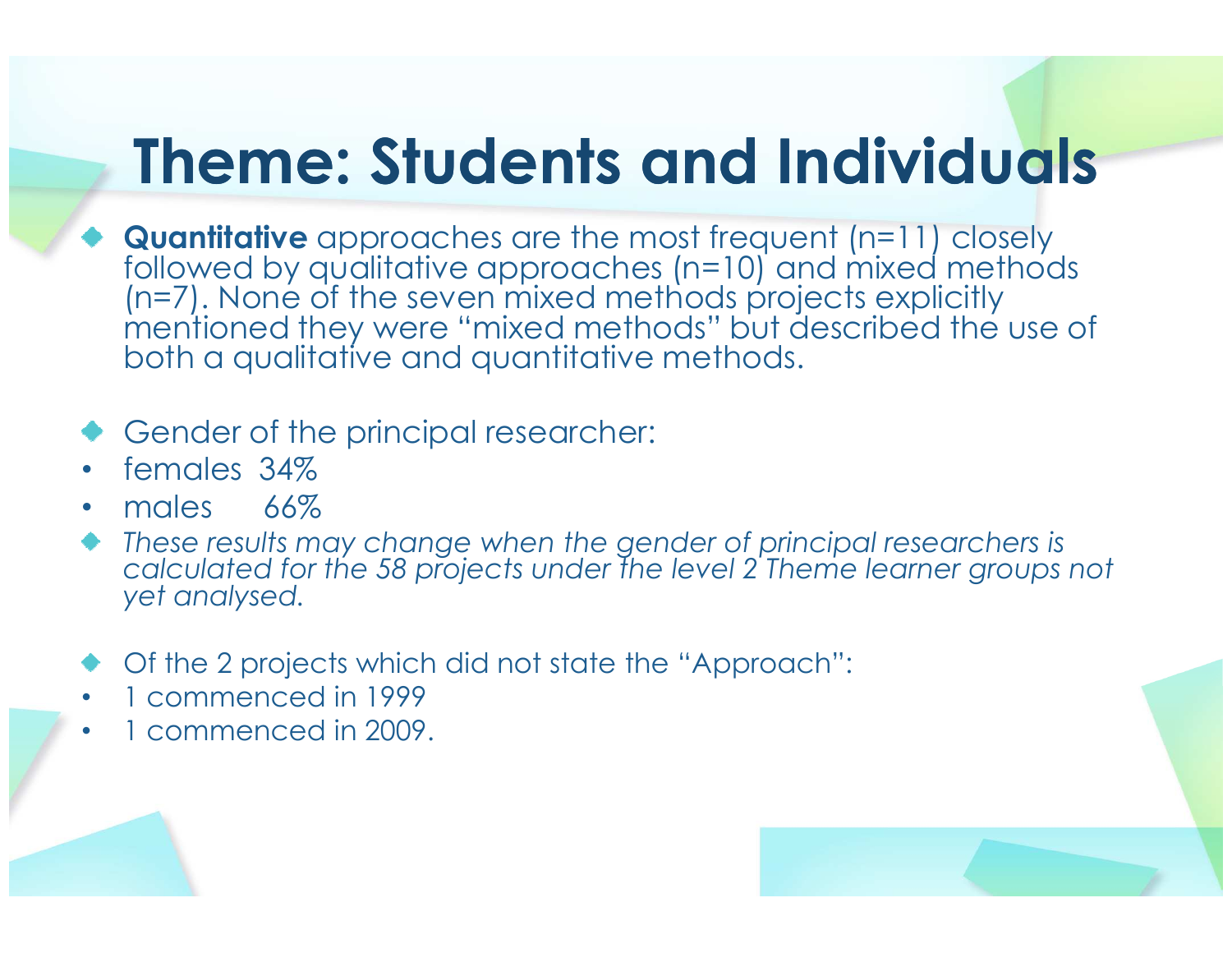#### Theme: Students and Individuals

**Quantitative** approaches are the most frequent (n=11) closely<br>followed by qualitative approaches (n=10) and mixed method followed by qualitative approaches (n=10) and mixed methods (n=7). None of the seven mixed methods projects explicitly mentioned they were "mixed methods" but described the use of both a qualitative and quantitative methods.

#### Gender of the principal researcher:

- •females 34%
- males 66% •
- These results may change when the gender of principal researchers is calculated for the 58 projects under the level 2 Theme learner groups not yet analysed.
- Of the 2 projects which did not state the "Approach":
- •1 commenced in 1999
- 1 commenced in 2009. •

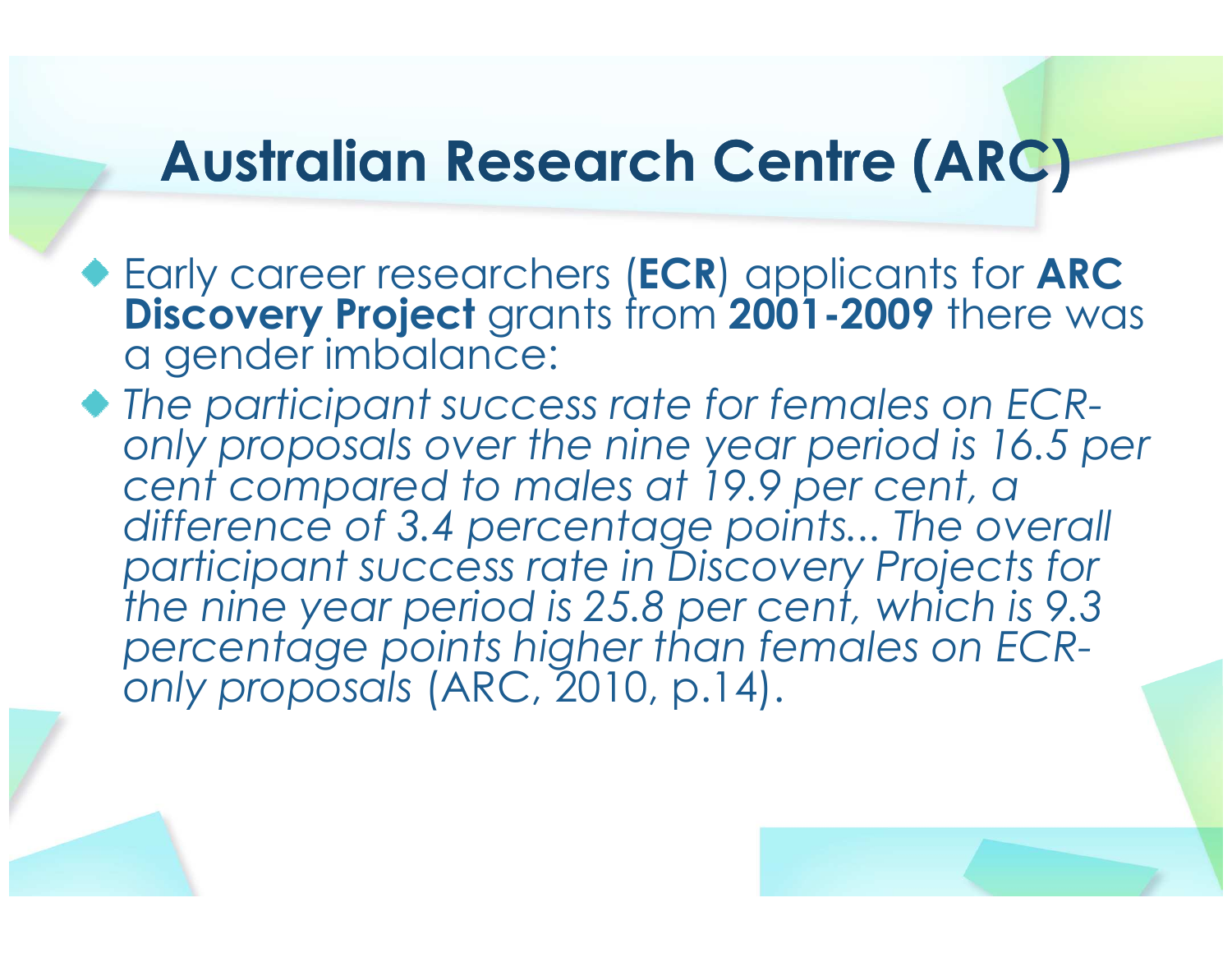#### Australian Research Centre (ARC)

- Early career researchers (ECR) applicants for ARC Discovery Project grants from 2001-2009 there was a gender imbalance:
- $\blacklozenge$  The participant success rate for females on ECRonly proposals over the nine year period is 16.5 per cent compared to males at 19.9 per cent, a difference of 3.4 percentage points... The overall participant success rate in Discovery Projects for the nine year period is 25.8 per cent, which is 9.3percentage points higher than females on ECRonly proposals (ARC, 2010, p.14).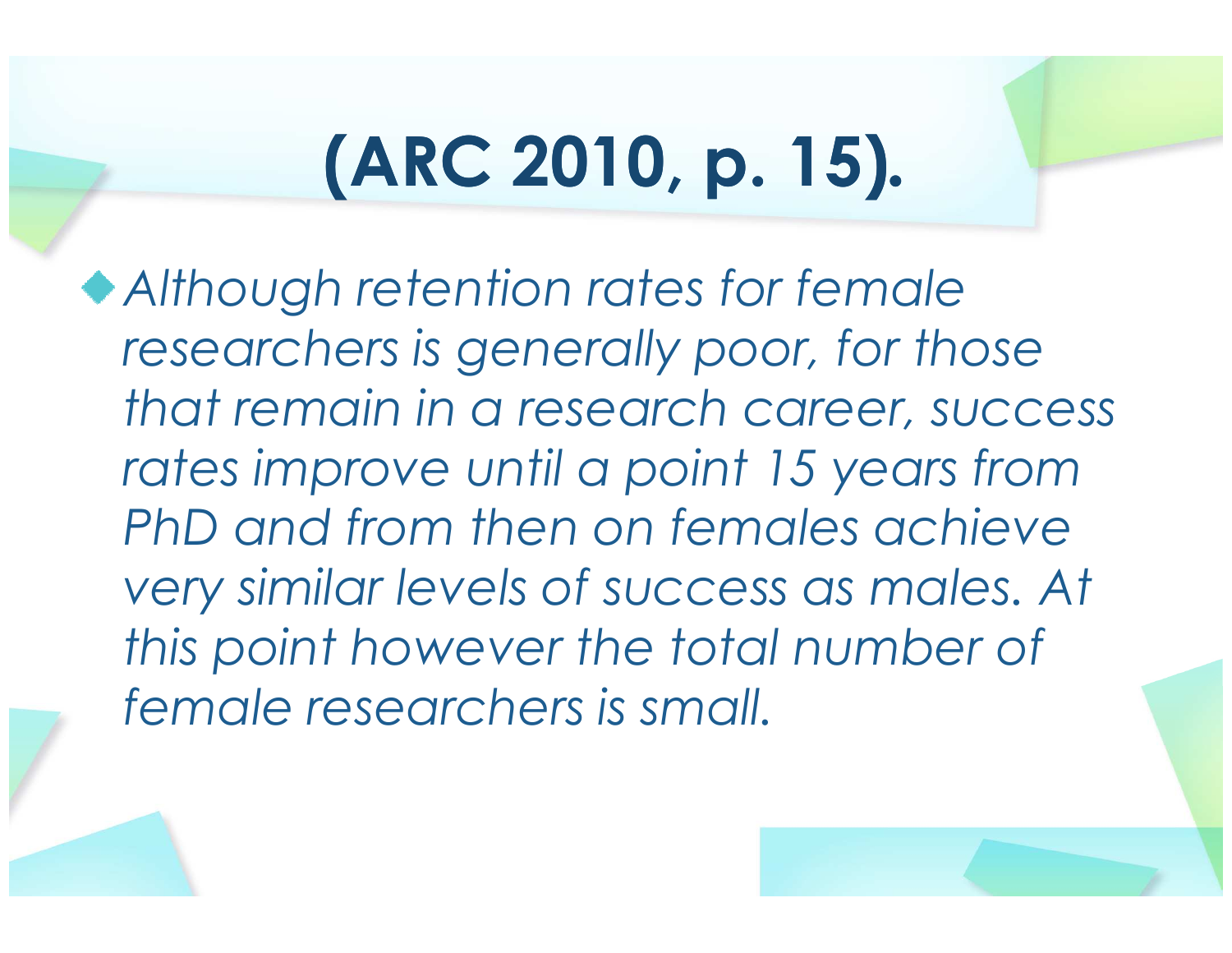# (ARC 2010, p. 15).

Although retention rates for female researchers is generally poor, for those that remain in a research career, success rates improve until a point 15 years from PhD and from then on females achieve very similar levels of success as males. At this point however the total number of female researchers is small.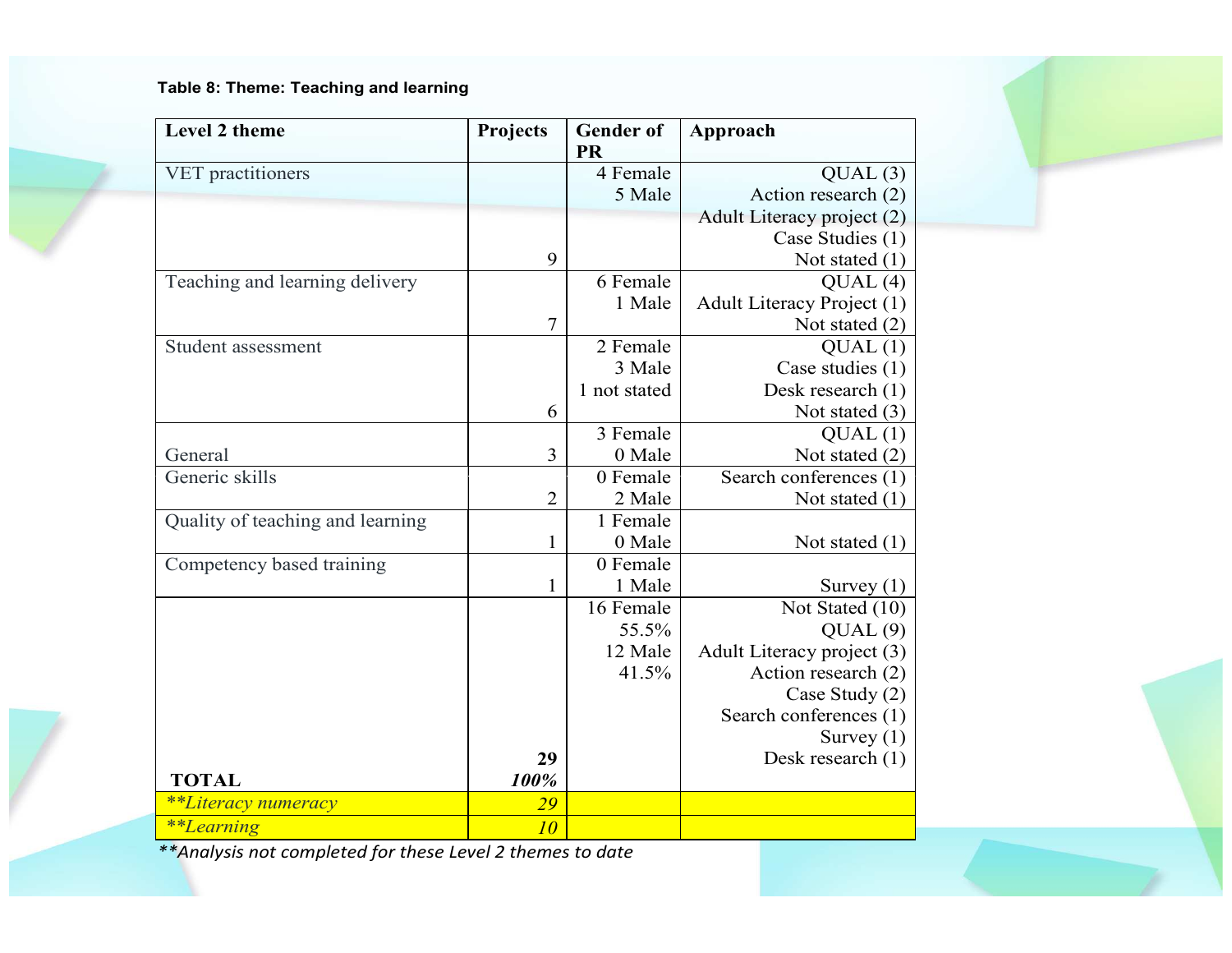Table 8: Theme: Teaching and learning

| Level 2 theme                                              | Projects       | <b>Gender</b> of | Approach                   |
|------------------------------------------------------------|----------------|------------------|----------------------------|
|                                                            |                | <b>PR</b>        |                            |
| VET practitioners                                          |                | 4 Female         | QUAL(3)                    |
|                                                            |                | 5 Male           | Action research (2)        |
|                                                            |                |                  | Adult Literacy project (2) |
|                                                            |                |                  | Case Studies (1)           |
|                                                            | 9              |                  | Not stated $(1)$           |
| Teaching and learning delivery                             |                | 6 Female         | QUAL(4)                    |
|                                                            |                | 1 Male           | Adult Literacy Project (1) |
|                                                            | $\overline{7}$ |                  | Not stated $(2)$           |
| Student assessment                                         |                | 2 Female         | QUAL(1)                    |
|                                                            |                | 3 Male           | Case studies (1)           |
|                                                            |                | 1 not stated     | Desk research (1)          |
|                                                            | 6              |                  | Not stated $(3)$           |
|                                                            |                | 3 Female         | QUAL(1)                    |
| General                                                    | 3              | 0 Male           | Not stated $(2)$           |
| Generic skills                                             |                | 0 Female         | Search conferences (1)     |
|                                                            | $\overline{2}$ | 2 Male           | Not stated $(1)$           |
| Quality of teaching and learning                           |                | 1 Female         |                            |
|                                                            | $\mathbf{1}$   | 0 Male           | Not stated $(1)$           |
| Competency based training                                  |                | 0 Female         |                            |
|                                                            | 1              | 1 Male           | Survey $(1)$               |
|                                                            |                | 16 Female        | Not Stated (10)            |
|                                                            |                | 55.5%            | QUAL(9)                    |
|                                                            |                | 12 Male          | Adult Literacy project (3) |
|                                                            |                | 41.5%            | Action research (2)        |
|                                                            |                |                  | Case Study (2)             |
|                                                            |                |                  | Search conferences (1)     |
|                                                            |                |                  | Survey $(1)$               |
|                                                            | 29             |                  | Desk research (1)          |
| <b>TOTAL</b>                                               | 100%           |                  |                            |
| **Literacy numeracy                                        | 29             |                  |                            |
| <i>**Learning</i>                                          | 10             |                  |                            |
| ** Analysis not completed for these Level 2 themes to date |                |                  |                            |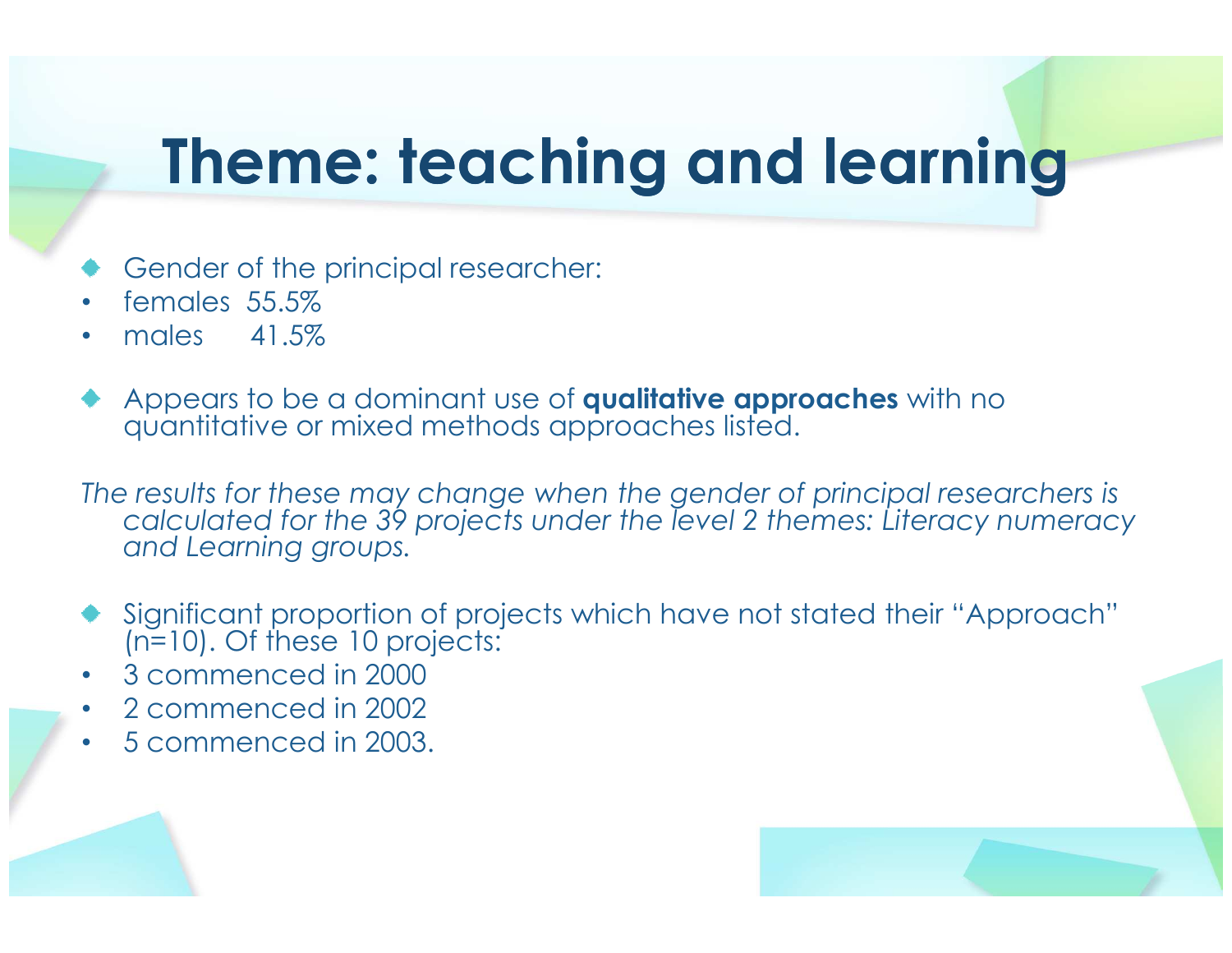#### Theme: teaching and learning

- Gender of the principal researcher:
- •females 55.5%
- males 41.5% •
- Appears to be a dominant use of **qualitative approaches** with no quantitative or mixed methods approaches listed.

The results for these may change when the gender of principal researchers is calculated for the 39 projects under the level 2 themes: Literacy numeracy and Learning groups.

- Significant proportion of projects which have not stated their "Approach" (n=10). Of these 10 projects:
- •3 commenced in 2000
- 2 commenced in 2002 •
- •5 commenced in 2003.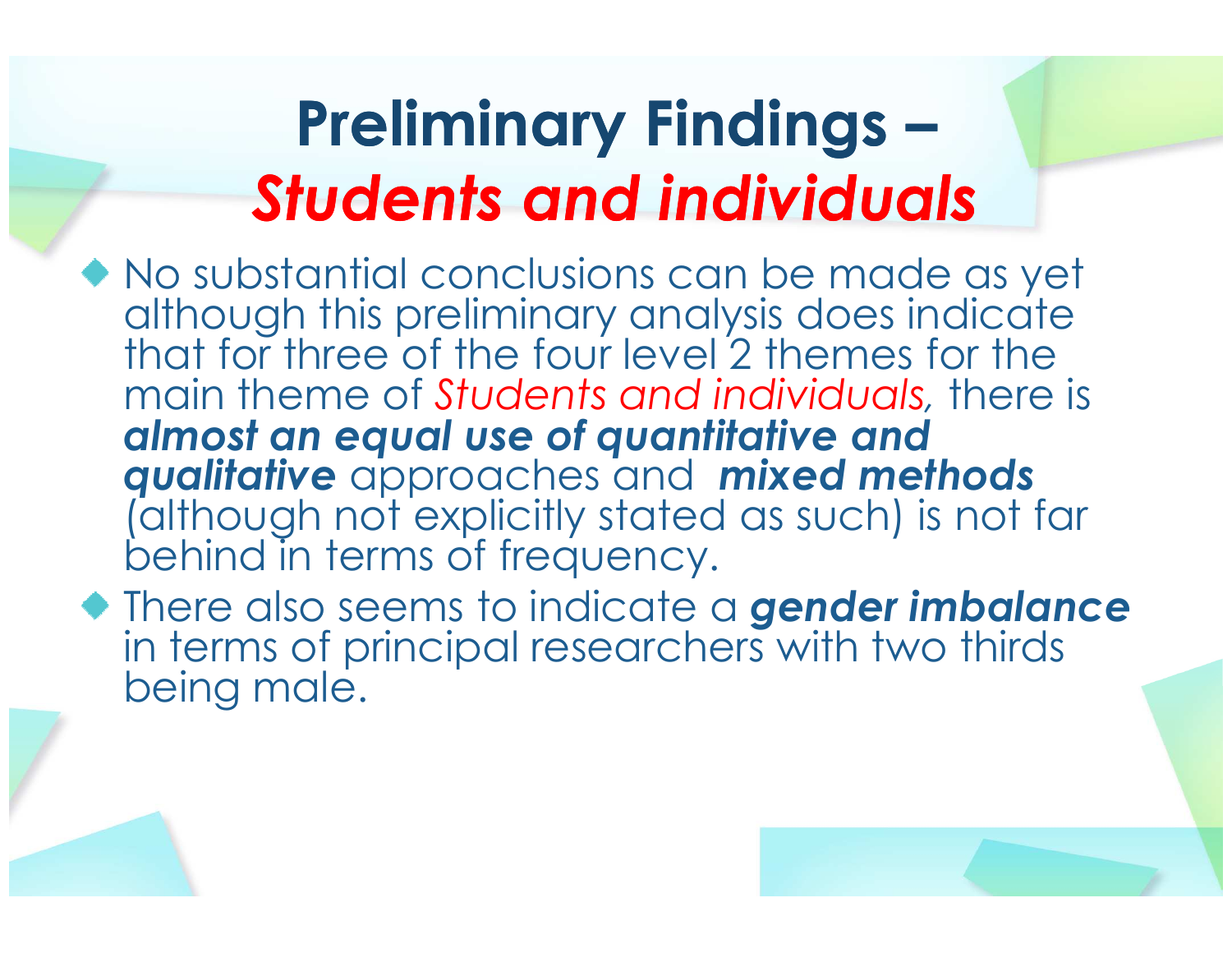#### Preliminary Findings –Students and individuals

- No substantial conclusions can be made as yet although this preliminary analysis does indicate that for three of the four level 2 themes for the main theme of Students and individuals, there is almost an equal use of quantitative and **qualitative** approaches and **mixed methods** (although not explicitly stated as such) is not far behind in terms of frequency.
- There also seems to indicate a **gender imbalance** in terms of principal researchers with two thirds being male.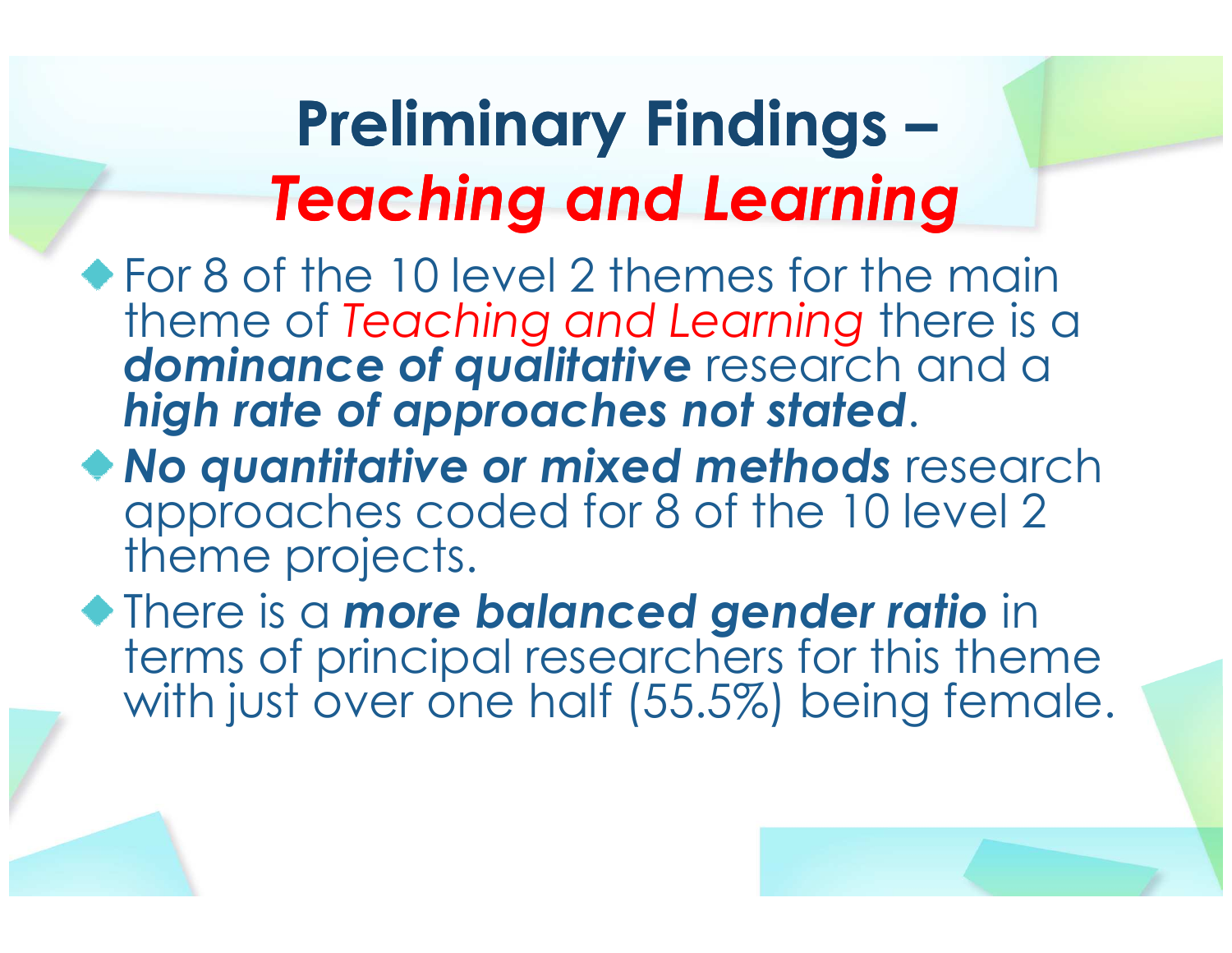#### Preliminary Findings –Teaching and Learning

- For 8 of the 10 level 2 themes for the main theme of Teaching and Learning there is a<br>deminance of qualitative research and a dominance of qualitative research and a high rate of approaches not stated.
- **No quantitative or mixed methods** research<br>approaches coded for 8 of the 10 level 2 theme projects.
- **There is a more balanced gender ratio in**  terms of principal researchers for this theme with just over one half (55.5%) being female.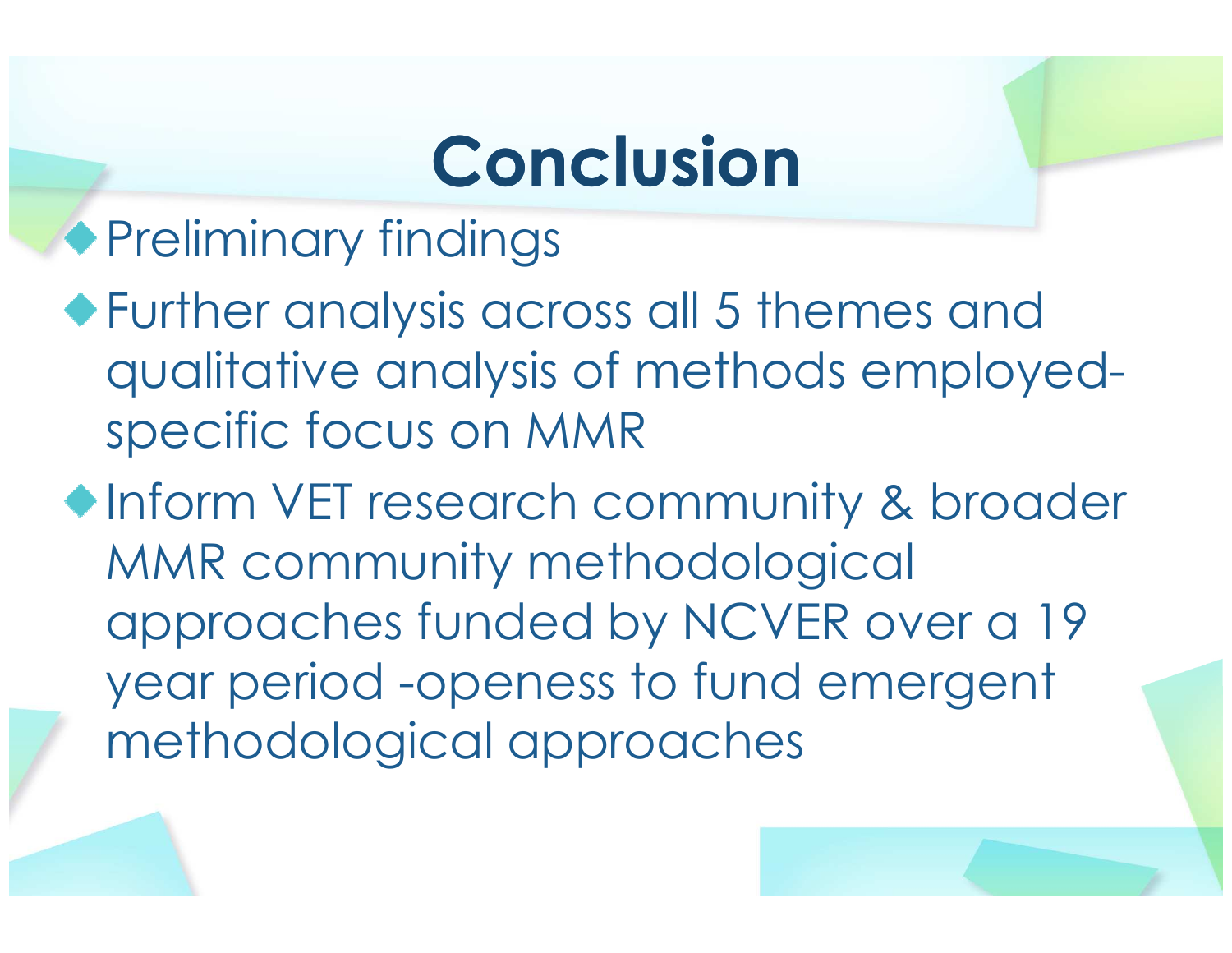### Conclusion

◆ Preliminary findings

Further analysis across all 5 themes and qualitative analysis of methods employedspecific focus on MMR

◆Inform VET research community & broader MMR community methodological approaches funded by NCVER over a 19 year period -openess to fund emergent methodological approaches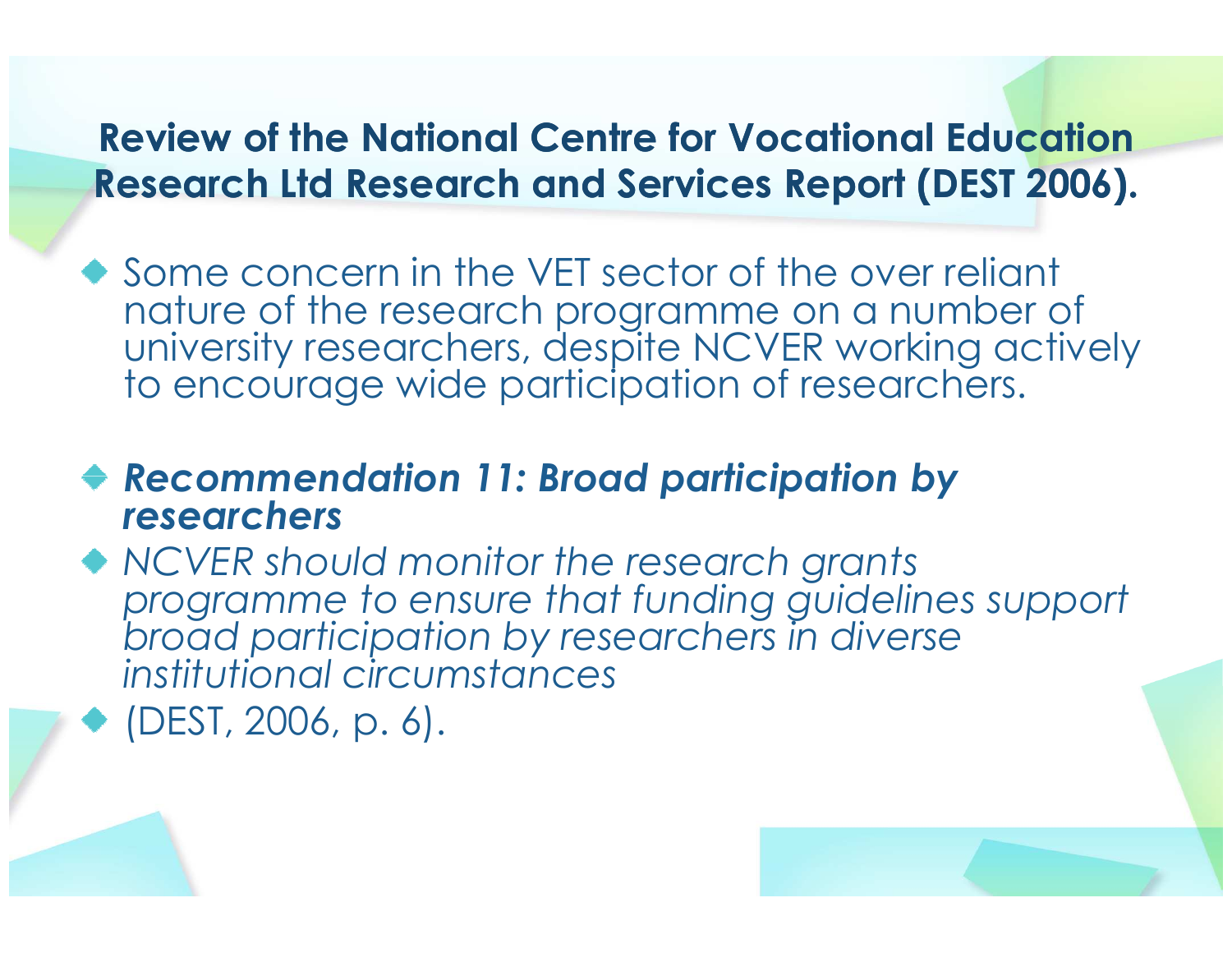#### Review of the National Centre for Vocational Education Research Ltd Research and Services Report (DEST 2006).

◆ Some concern in the VET sector of the over reliant nature of the research programme on a number of university researchers, despite NCVER working actively to encourage wide participation of researchers.

#### Recommendation 11: Broad participation by researchers

 NCVER should monitor the research grants programme to ensure that funding guidelines support broad participation by researchers in diverse institutional circumstances

(DEST, 2006, p. 6).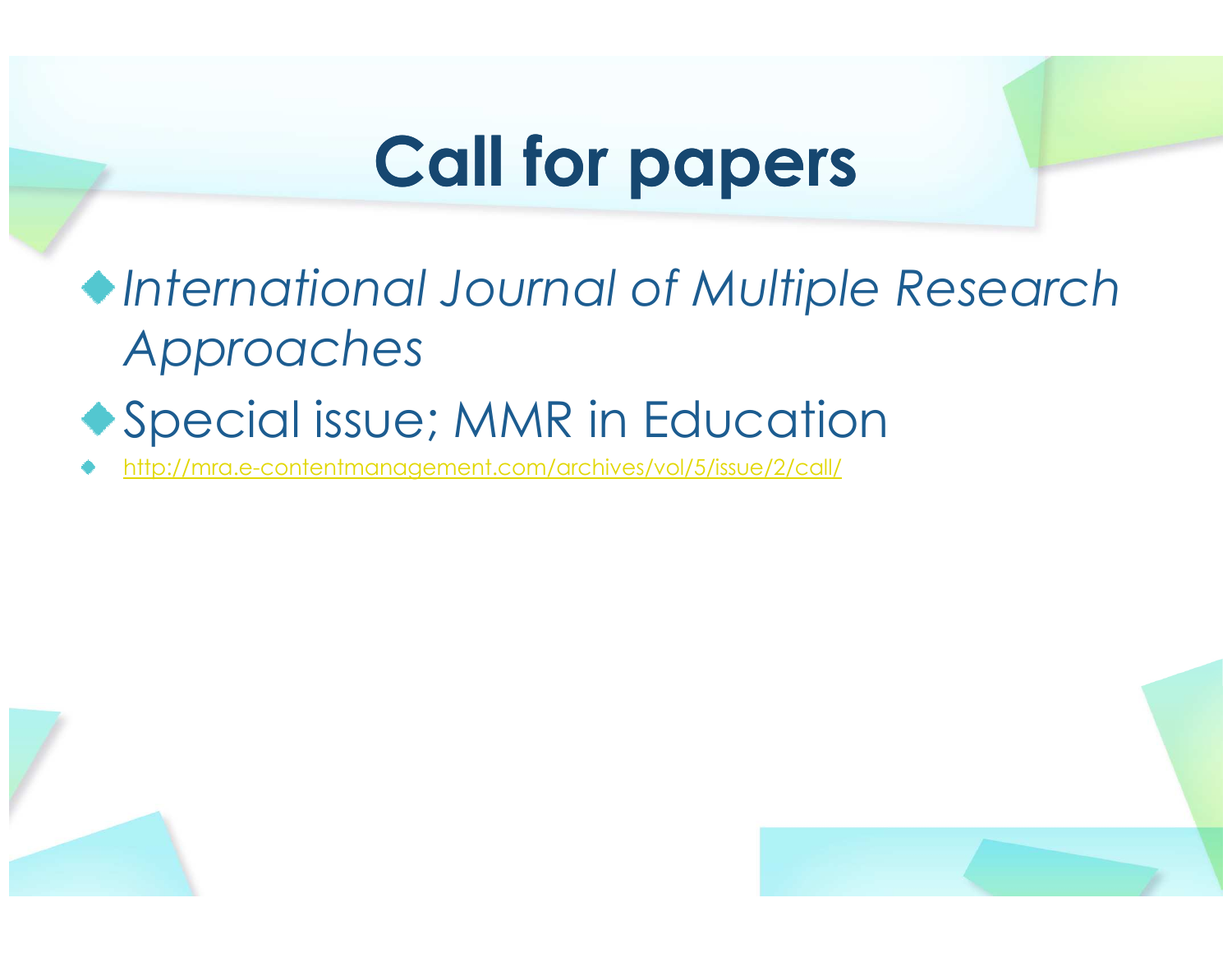### Call for papers

International Journal of Multiple Research Approaches

#### Special issue; MMR in Education

http://mra.e-contentmanagement.com/archives/vol/5/issue/2/call/